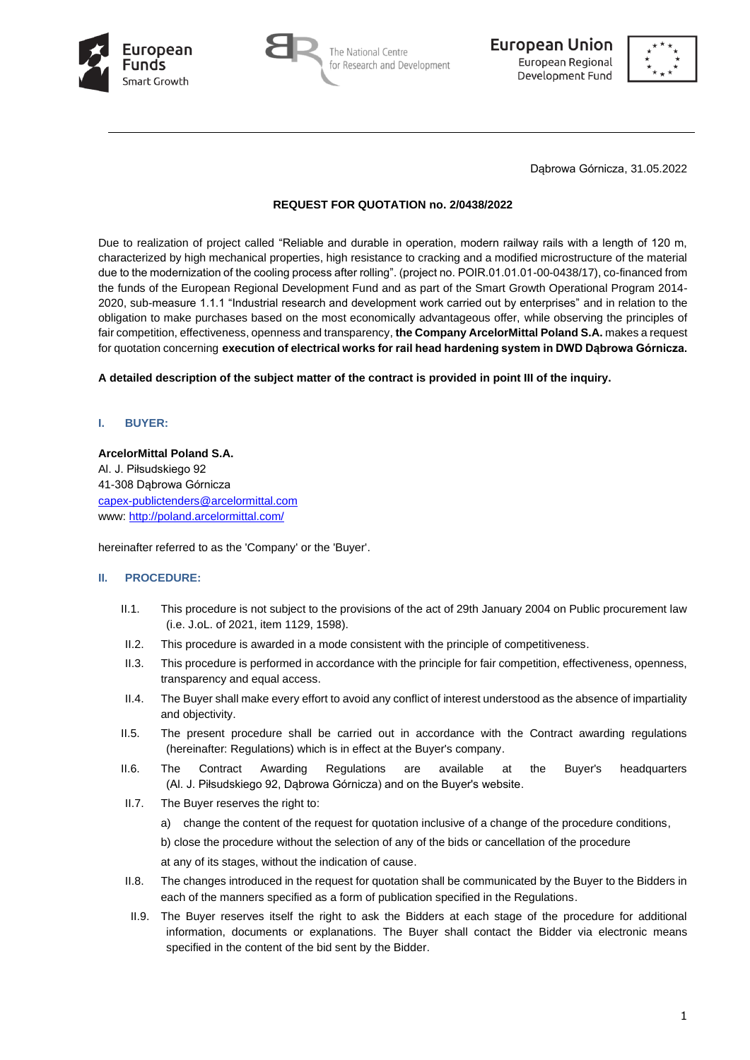





Dąbrowa Górnicza, 31.05.2022

#### **REQUEST FOR QUOTATION no. 2/0438/2022**

Due to realization of project called "Reliable and durable in operation, modern railway rails with a length of 120 m, characterized by high mechanical properties, high resistance to cracking and a modified microstructure of the material due to the modernization of the cooling process after rolling". (project no. POIR.01.01.01-00-0438/17), co-financed from the funds of the European Regional Development Fund and as part of the Smart Growth Operational Program 2014- 2020, sub-measure 1.1.1 "Industrial research and development work carried out by enterprises" and in relation to the obligation to make purchases based on the most economically advantageous offer, while observing the principles of fair competition, effectiveness, openness and transparency, **the Company ArcelorMittal Poland S.A.** makes a request for quotation concerning **execution of electrical works for rail head hardening system in DWD Dąbrowa Górnicza.**

**A detailed description of the subject matter of the contract is provided in point III of the inquiry.**

#### **I. BUYER:**

#### **ArcelorMittal Poland S.A.**

Al. J. Piłsudskiego 92 41-308 Dąbrowa Górnicza [capex-publictenders@arcelormittal.com](mailto:capex-publictenders@arcelormittal.com) www:<http://poland.arcelormittal.com/>

hereinafter referred to as the 'Company' or the 'Buyer'.

#### **II. PROCEDURE:**

- II.1. This procedure is not subject to the provisions of the act of 29th January 2004 on Public procurement law (i.e. J.oL. of 2021, item 1129, 1598).
- II.2. This procedure is awarded in a mode consistent with the principle of competitiveness.
- II.3. This procedure is performed in accordance with the principle for fair competition, effectiveness, openness, transparency and equal access.
- II.4. The Buyer shall make every effort to avoid any conflict of interest understood as the absence of impartiality and objectivity.
- II.5. The present procedure shall be carried out in accordance with the Contract awarding regulations (hereinafter: Regulations) which is in effect at the Buyer's company.
- II.6. The Contract Awarding Regulations are available at the Buyer's headquarters (Al. J. Piłsudskiego 92, Dąbrowa Górnicza) and on the Buyer's website.
- II.7. The Buyer reserves the right to:
	- a) change the content of the request for quotation inclusive of a change of the procedure conditions,

b) close the procedure without the selection of any of the bids or cancellation of the procedure

at any of its stages, without the indication of cause.

- II.8. The changes introduced in the request for quotation shall be communicated by the Buyer to the Bidders in each of the manners specified as a form of publication specified in the Regulations.
- II.9. The Buyer reserves itself the right to ask the Bidders at each stage of the procedure for additional information, documents or explanations. The Buyer shall contact the Bidder via electronic means specified in the content of the bid sent by the Bidder.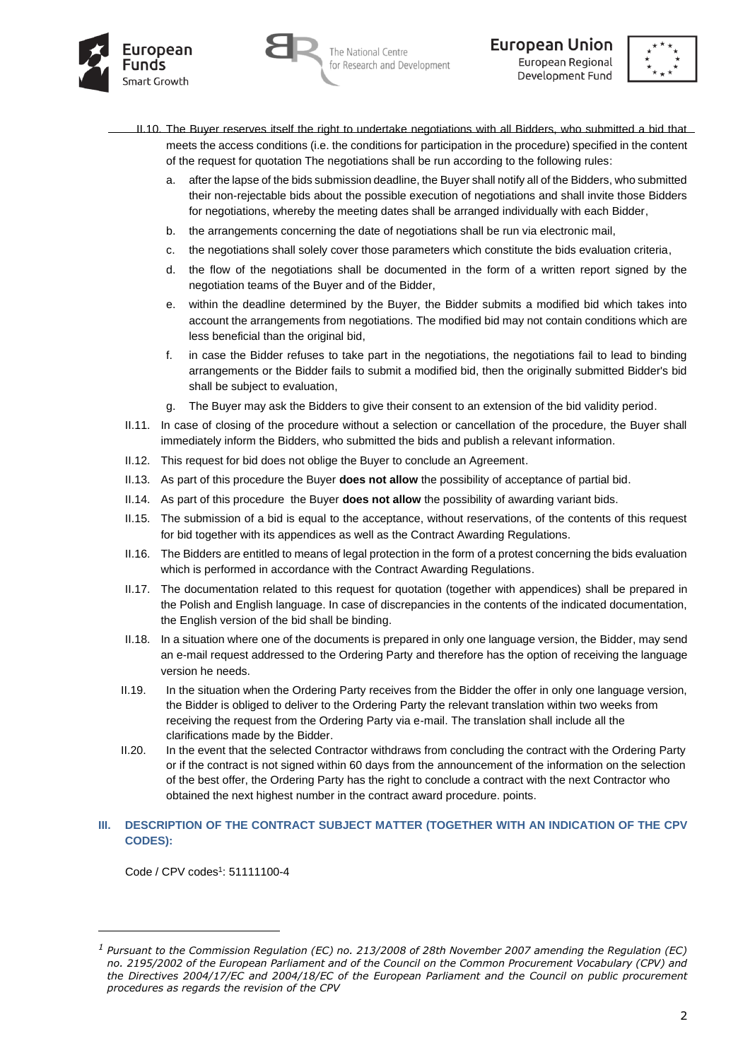





- II.10. The Buyer reserves itself the right to undertake negotiations with all Bidders, who submitted a bid that meets the access conditions (i.e. the conditions for participation in the procedure) specified in the content of the request for quotation The negotiations shall be run according to the following rules:
	- a. after the lapse of the bids submission deadline, the Buyer shall notify all of the Bidders, who submitted their non-rejectable bids about the possible execution of negotiations and shall invite those Bidders for negotiations, whereby the meeting dates shall be arranged individually with each Bidder,
	- b. the arrangements concerning the date of negotiations shall be run via electronic mail,
	- c. the negotiations shall solely cover those parameters which constitute the bids evaluation criteria,
	- d. the flow of the negotiations shall be documented in the form of a written report signed by the negotiation teams of the Buyer and of the Bidder,
	- e. within the deadline determined by the Buyer, the Bidder submits a modified bid which takes into account the arrangements from negotiations. The modified bid may not contain conditions which are less beneficial than the original bid,
	- f. in case the Bidder refuses to take part in the negotiations, the negotiations fail to lead to binding arrangements or the Bidder fails to submit a modified bid, then the originally submitted Bidder's bid shall be subject to evaluation,
	- g. The Buyer may ask the Bidders to give their consent to an extension of the bid validity period.
- II.11. In case of closing of the procedure without a selection or cancellation of the procedure, the Buyer shall immediately inform the Bidders, who submitted the bids and publish a relevant information.
- II.12. This request for bid does not oblige the Buyer to conclude an Agreement.
- II.13. As part of this procedure the Buyer **does not allow** the possibility of acceptance of partial bid.
- II.14. As part of this procedure the Buyer **does not allow** the possibility of awarding variant bids.
- II.15. The submission of a bid is equal to the acceptance, without reservations, of the contents of this request for bid together with its appendices as well as the Contract Awarding Regulations.
- II.16. The Bidders are entitled to means of legal protection in the form of a protest concerning the bids evaluation which is performed in accordance with the Contract Awarding Regulations.
- II.17. The documentation related to this request for quotation (together with appendices) shall be prepared in the Polish and English language. In case of discrepancies in the contents of the indicated documentation, the English version of the bid shall be binding.
- II.18. In a situation where one of the documents is prepared in only one language version, the Bidder, may send an e-mail request addressed to the Ordering Party and therefore has the option of receiving the language version he needs.
- II.19. In the situation when the Ordering Party receives from the Bidder the offer in only one language version, the Bidder is obliged to deliver to the Ordering Party the relevant translation within two weeks from receiving the request from the Ordering Party via e-mail. The translation shall include all the clarifications made by the Bidder.
- II.20. In the event that the selected Contractor withdraws from concluding the contract with the Ordering Party or if the contract is not signed within 60 days from the announcement of the information on the selection of the best offer, the Ordering Party has the right to conclude a contract with the next Contractor who obtained the next highest number in the contract award procedure. points.

#### **III. DESCRIPTION OF THE CONTRACT SUBJECT MATTER (TOGETHER WITH AN INDICATION OF THE CPV CODES):**

Code / CPV codes<sup>1</sup>: 51111100-4

*<sup>1</sup> Pursuant to the Commission Regulation (EC) no. 213/2008 of 28th November 2007 amending the Regulation (EC) no. 2195/2002 of the European Parliament and of the Council on the Common Procurement Vocabulary (CPV) and the Directives 2004/17/EC and 2004/18/EC of the European Parliament and the Council on public procurement procedures as regards the revision of the CPV*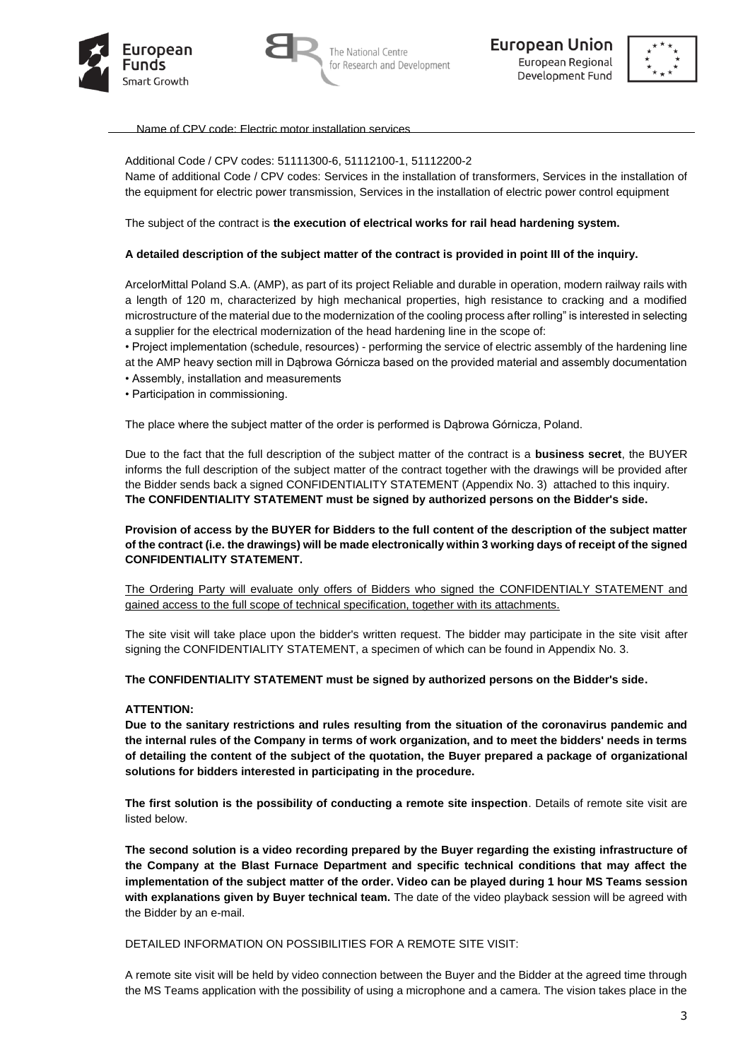





Name of CPV code: Electric motor installation services

#### Additional Code / CPV codes: 51111300-6, 51112100-1, 51112200-2

Name of additional Code / CPV codes: Services in the installation of transformers, Services in the installation of the equipment for electric power transmission, Services in the installation of electric power control equipment

The subject of the contract is **the execution of electrical works for rail head hardening system.**

#### **A detailed description of the subject matter of the contract is provided in point III of the inquiry.**

ArcelorMittal Poland S.A. (AMP), as part of its project Reliable and durable in operation, modern railway rails with a length of 120 m, characterized by high mechanical properties, high resistance to cracking and a modified microstructure of the material due to the modernization of the cooling process after rolling" is interested in selecting a supplier for the electrical modernization of the head hardening line in the scope of:

• Project implementation (schedule, resources) - performing the service of electric assembly of the hardening line at the AMP heavy section mill in Dąbrowa Górnicza based on the provided material and assembly documentation

- Assembly, installation and measurements
- Participation in commissioning.

The place where the subject matter of the order is performed is Dąbrowa Górnicza, Poland.

Due to the fact that the full description of the subject matter of the contract is a **business secret**, the BUYER informs the full description of the subject matter of the contract together with the drawings will be provided after the Bidder sends back a signed CONFIDENTIALITY STATEMENT (Appendix No. 3) attached to this inquiry. **The CONFIDENTIALITY STATEMENT must be signed by authorized persons on the Bidder's side.**

**Provision of access by the BUYER for Bidders to the full content of the description of the subject matter of the contract (i.e. the drawings) will be made electronically within 3 working days of receipt of the signed CONFIDENTIALITY STATEMENT.**

The Ordering Party will evaluate only offers of Bidders who signed the CONFIDENTIALY STATEMENT and gained access to the full scope of technical specification, together with its attachments.

The site visit will take place upon the bidder's written request. The bidder may participate in the site visit after signing the CONFIDENTIALITY STATEMENT, a specimen of which can be found in Appendix No. 3.

**The CONFIDENTIALITY STATEMENT must be signed by authorized persons on the Bidder's side.**

#### **ATTENTION:**

**Due to the sanitary restrictions and rules resulting from the situation of the coronavirus pandemic and the internal rules of the Company in terms of work organization, and to meet the bidders' needs in terms of detailing the content of the subject of the quotation, the Buyer prepared a package of organizational solutions for bidders interested in participating in the procedure.**

**The first solution is the possibility of conducting a remote site inspection**. Details of remote site visit are listed below.

**The second solution is a video recording prepared by the Buyer regarding the existing infrastructure of the Company at the Blast Furnace Department and specific technical conditions that may affect the implementation of the subject matter of the order. Video can be played during 1 hour MS Teams session with explanations given by Buyer technical team.** The date of the video playback session will be agreed with the Bidder by an e-mail.

DETAILED INFORMATION ON POSSIBILITIES FOR A REMOTE SITE VISIT:

A remote site visit will be held by video connection between the Buyer and the Bidder at the agreed time through the MS Teams application with the possibility of using a microphone and a camera. The vision takes place in the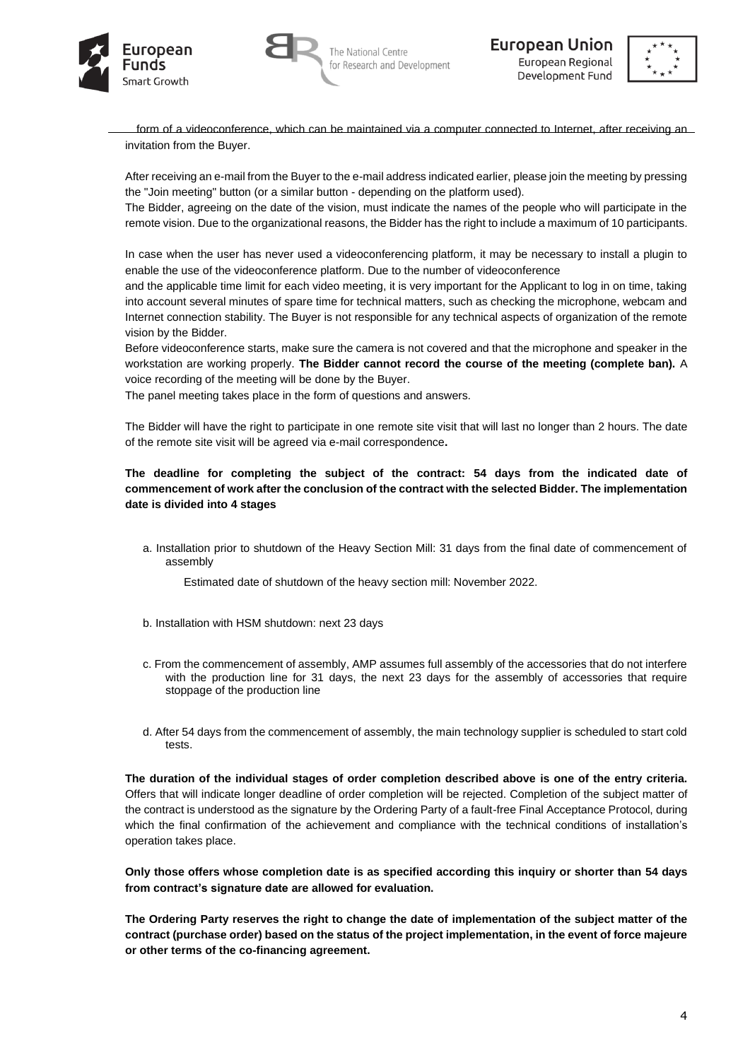





form of a videoconference, which can be maintained via a computer connected to Internet, after receiving an invitation from the Buyer.

After receiving an e-mail from the Buyer to the e-mail address indicated earlier, please join the meeting by pressing the "Join meeting" button (or a similar button - depending on the platform used).

The Bidder, agreeing on the date of the vision, must indicate the names of the people who will participate in the remote vision. Due to the organizational reasons, the Bidder has the right to include a maximum of 10 participants.

In case when the user has never used a videoconferencing platform, it may be necessary to install a plugin to enable the use of the videoconference platform. Due to the number of videoconference

and the applicable time limit for each video meeting, it is very important for the Applicant to log in on time, taking into account several minutes of spare time for technical matters, such as checking the microphone, webcam and Internet connection stability. The Buyer is not responsible for any technical aspects of organization of the remote vision by the Bidder.

Before videoconference starts, make sure the camera is not covered and that the microphone and speaker in the workstation are working properly. **The Bidder cannot record the course of the meeting (complete ban).** A voice recording of the meeting will be done by the Buyer.

The panel meeting takes place in the form of questions and answers.

The Bidder will have the right to participate in one remote site visit that will last no longer than 2 hours. The date of the remote site visit will be agreed via e-mail correspondence**.** 

# **The deadline for completing the subject of the contract: 54 days from the indicated date of commencement of work after the conclusion of the contract with the selected Bidder. The implementation date is divided into 4 stages**

a. Installation prior to shutdown of the Heavy Section Mill: 31 days from the final date of commencement of assembly

Estimated date of shutdown of the heavy section mill: November 2022.

- b. Installation with HSM shutdown: next 23 days
- c. From the commencement of assembly, AMP assumes full assembly of the accessories that do not interfere with the production line for 31 days, the next 23 days for the assembly of accessories that require stoppage of the production line
- d. After 54 days from the commencement of assembly, the main technology supplier is scheduled to start cold tests.

**The duration of the individual stages of order completion described above is one of the entry criteria.**  Offers that will indicate longer deadline of order completion will be rejected. Completion of the subject matter of the contract is understood as the signature by the Ordering Party of a fault-free Final Acceptance Protocol, during which the final confirmation of the achievement and compliance with the technical conditions of installation's operation takes place.

**Only those offers whose completion date is as specified according this inquiry or shorter than 54 days from contract's signature date are allowed for evaluation.** 

**The Ordering Party reserves the right to change the date of implementation of the subject matter of the contract (purchase order) based on the status of the project implementation, in the event of force majeure or other terms of the co-financing agreement.**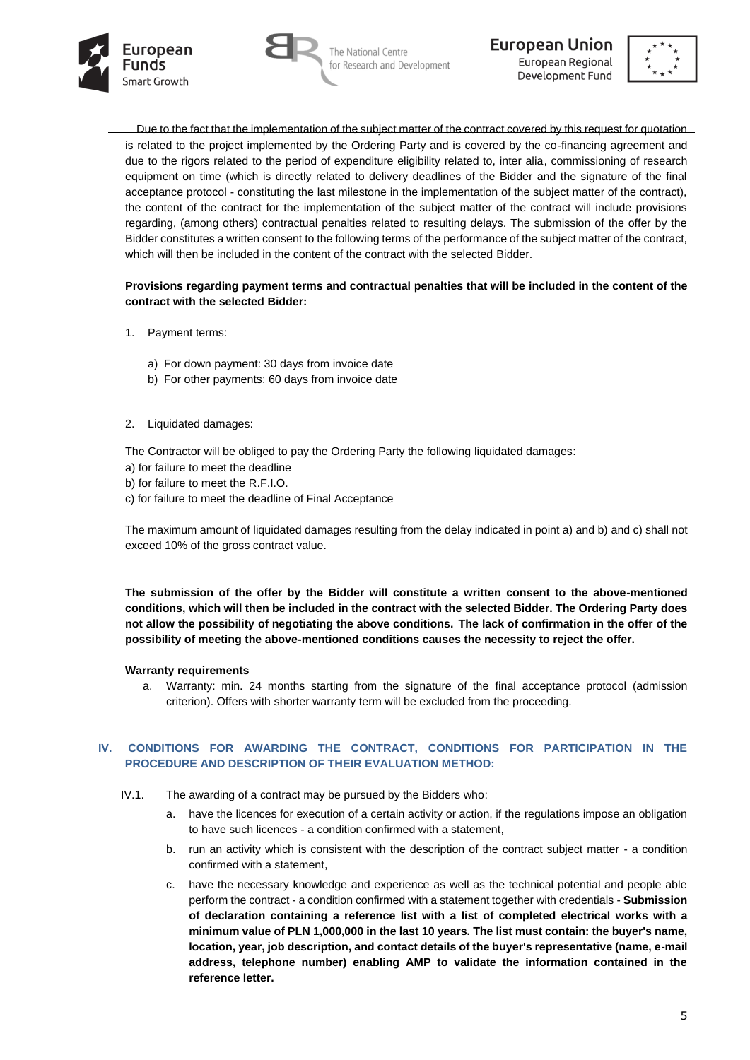





Due to the fact that the implementation of the subject matter of the contract covered by this request for quotation is related to the project implemented by the Ordering Party and is covered by the co-financing agreement and due to the rigors related to the period of expenditure eligibility related to, inter alia, commissioning of research equipment on time (which is directly related to delivery deadlines of the Bidder and the signature of the final acceptance protocol - constituting the last milestone in the implementation of the subject matter of the contract), the content of the contract for the implementation of the subject matter of the contract will include provisions regarding, (among others) contractual penalties related to resulting delays. The submission of the offer by the Bidder constitutes a written consent to the following terms of the performance of the subject matter of the contract, which will then be included in the content of the contract with the selected Bidder.

### **Provisions regarding payment terms and contractual penalties that will be included in the content of the contract with the selected Bidder:**

- 1. Payment terms:
	- a) For down payment: 30 days from invoice date
	- b) For other payments: 60 days from invoice date
- 2. Liquidated damages:

The Contractor will be obliged to pay the Ordering Party the following liquidated damages:

- a) for failure to meet the deadline
- b) for failure to meet the R.F.I.O.
- c) for failure to meet the deadline of Final Acceptance

The maximum amount of liquidated damages resulting from the delay indicated in point a) and b) and c) shall not exceed 10% of the gross contract value.

**The submission of the offer by the Bidder will constitute a written consent to the above-mentioned conditions, which will then be included in the contract with the selected Bidder. The Ordering Party does not allow the possibility of negotiating the above conditions. The lack of confirmation in the offer of the possibility of meeting the above-mentioned conditions causes the necessity to reject the offer.**

#### **Warranty requirements**

a. Warranty: min. 24 months starting from the signature of the final acceptance protocol (admission criterion). Offers with shorter warranty term will be excluded from the proceeding.

## **IV. CONDITIONS FOR AWARDING THE CONTRACT, CONDITIONS FOR PARTICIPATION IN THE PROCEDURE AND DESCRIPTION OF THEIR EVALUATION METHOD:**

- IV.1. The awarding of a contract may be pursued by the Bidders who:
	- a. have the licences for execution of a certain activity or action, if the regulations impose an obligation to have such licences - a condition confirmed with a statement,
	- b. run an activity which is consistent with the description of the contract subject matter a condition confirmed with a statement,
	- c. have the necessary knowledge and experience as well as the technical potential and people able perform the contract - a condition confirmed with a statement together with credentials - **Submission of declaration containing a reference list with a list of completed electrical works with a minimum value of PLN 1,000,000 in the last 10 years. The list must contain: the buyer's name, location, year, job description, and contact details of the buyer's representative (name, e-mail address, telephone number) enabling AMP to validate the information contained in the reference letter.**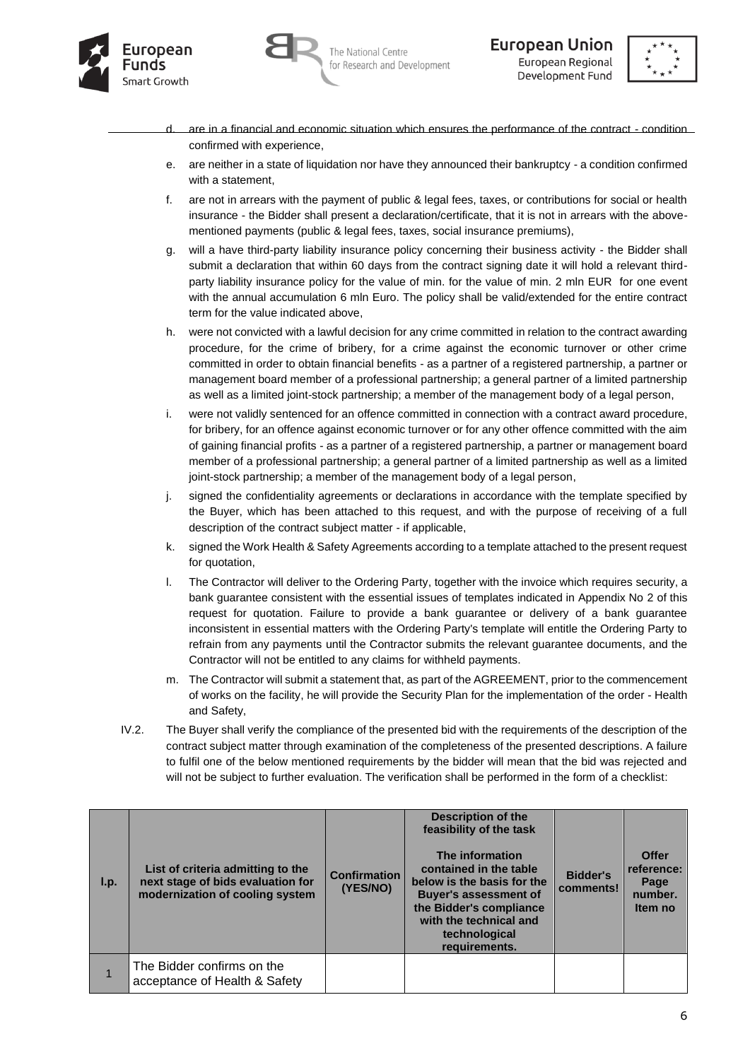





- are in a financial and economic situation which ensures the performance of the contract condition confirmed with experience,
- e. are neither in a state of liquidation nor have they announced their bankruptcy a condition confirmed with a statement,
- f. are not in arrears with the payment of public & legal fees, taxes, or contributions for social or health insurance - the Bidder shall present a declaration/certificate, that it is not in arrears with the abovementioned payments (public & legal fees, taxes, social insurance premiums),
- g. will a have third-party liability insurance policy concerning their business activity the Bidder shall submit a declaration that within 60 days from the contract signing date it will hold a relevant thirdparty liability insurance policy for the value of min. for the value of min. 2 mln EUR for one event with the annual accumulation 6 mln Euro. The policy shall be valid/extended for the entire contract term for the value indicated above,
- h. were not convicted with a lawful decision for any crime committed in relation to the contract awarding procedure, for the crime of bribery, for a crime against the economic turnover or other crime committed in order to obtain financial benefits - as a partner of a registered partnership, a partner or management board member of a professional partnership; a general partner of a limited partnership as well as a limited joint-stock partnership; a member of the management body of a legal person,
- i. were not validly sentenced for an offence committed in connection with a contract award procedure, for bribery, for an offence against economic turnover or for any other offence committed with the aim of gaining financial profits - as a partner of a registered partnership, a partner or management board member of a professional partnership; a general partner of a limited partnership as well as a limited joint-stock partnership; a member of the management body of a legal person,
- j. signed the confidentiality agreements or declarations in accordance with the template specified by the Buyer, which has been attached to this request, and with the purpose of receiving of a full description of the contract subject matter - if applicable,
- k. signed the Work Health & Safety Agreements according to a template attached to the present request for quotation,
- l. The Contractor will deliver to the Ordering Party, together with the invoice which requires security, a bank guarantee consistent with the essential issues of templates indicated in Appendix No 2 of this request for quotation. Failure to provide a bank guarantee or delivery of a bank guarantee inconsistent in essential matters with the Ordering Party's template will entitle the Ordering Party to refrain from any payments until the Contractor submits the relevant guarantee documents, and the Contractor will not be entitled to any claims for withheld payments.
- m. The Contractor will submit a statement that, as part of the AGREEMENT, prior to the commencement of works on the facility, he will provide the Security Plan for the implementation of the order - Health and Safety,
- IV.2. The Buyer shall verify the compliance of the presented bid with the requirements of the description of the contract subject matter through examination of the completeness of the presented descriptions. A failure to fulfil one of the below mentioned requirements by the bidder will mean that the bid was rejected and will not be subject to further evaluation. The verification shall be performed in the form of a checklist:

| $\mathsf{I}.\mathsf{p}$ . | List of criteria admitting to the<br>next stage of bids evaluation for<br>modernization of cooling system | <b>Confirmation</b><br>(YES/NO) | <b>Description of the</b><br>feasibility of the task<br>The information<br>contained in the table<br>below is the basis for the<br><b>Buyer's assessment of</b><br>the Bidder's compliance<br>with the technical and<br>technological<br>requirements. | <b>Bidder's</b><br>comments! | <b>Offer</b><br>reference:<br>Page<br>number.<br>Item no |
|---------------------------|-----------------------------------------------------------------------------------------------------------|---------------------------------|--------------------------------------------------------------------------------------------------------------------------------------------------------------------------------------------------------------------------------------------------------|------------------------------|----------------------------------------------------------|
|                           | The Bidder confirms on the<br>acceptance of Health & Safety                                               |                                 |                                                                                                                                                                                                                                                        |                              |                                                          |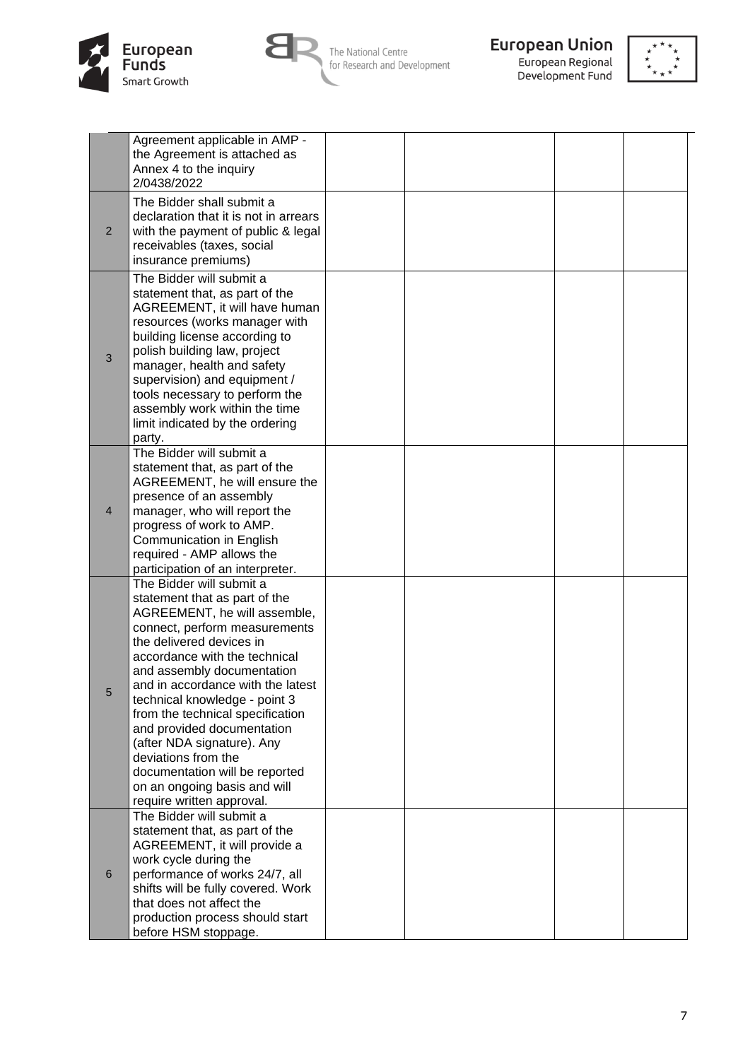



The National Centre<br>for Research and Development



**European Union**<br>European Regional<br>Development Fund



|                | Agreement applicable in AMP -<br>the Agreement is attached as<br>Annex 4 to the inquiry<br>2/0438/2022                                                                                                                                                                                                                                                                                                                                                                                                            |  |  |
|----------------|-------------------------------------------------------------------------------------------------------------------------------------------------------------------------------------------------------------------------------------------------------------------------------------------------------------------------------------------------------------------------------------------------------------------------------------------------------------------------------------------------------------------|--|--|
| $\overline{2}$ | The Bidder shall submit a<br>declaration that it is not in arrears<br>with the payment of public & legal<br>receivables (taxes, social<br>insurance premiums)                                                                                                                                                                                                                                                                                                                                                     |  |  |
| 3              | The Bidder will submit a<br>statement that, as part of the<br>AGREEMENT, it will have human<br>resources (works manager with<br>building license according to<br>polish building law, project<br>manager, health and safety<br>supervision) and equipment /<br>tools necessary to perform the<br>assembly work within the time<br>limit indicated by the ordering<br>party.                                                                                                                                       |  |  |
| $\overline{4}$ | The Bidder will submit a<br>statement that, as part of the<br>AGREEMENT, he will ensure the<br>presence of an assembly<br>manager, who will report the<br>progress of work to AMP.<br>Communication in English<br>required - AMP allows the<br>participation of an interpreter.                                                                                                                                                                                                                                   |  |  |
| 5              | The Bidder will submit a<br>statement that as part of the<br>AGREEMENT, he will assemble,<br>connect, perform measurements<br>the delivered devices in<br>accordance with the technical<br>and assembly documentation<br>and in accordance with the latest<br>technical knowledge - point 3<br>from the technical specification<br>and provided documentation<br>(after NDA signature). Any<br>deviations from the<br>documentation will be reported<br>on an ongoing basis and will<br>require written approval. |  |  |
| 6              | The Bidder will submit a<br>statement that, as part of the<br>AGREEMENT, it will provide a<br>work cycle during the<br>performance of works 24/7, all<br>shifts will be fully covered. Work<br>that does not affect the<br>production process should start<br>before HSM stoppage.                                                                                                                                                                                                                                |  |  |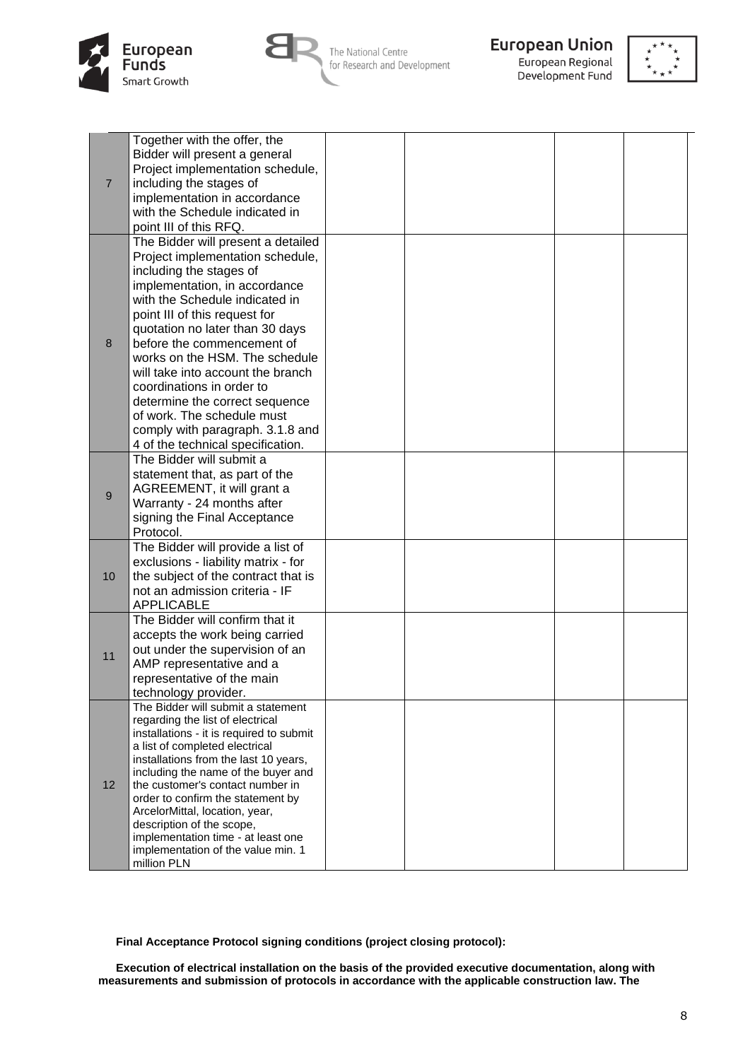



The National Centre for Research and Development



European Regional Development Fund



|                  | Together with the offer, the                                            |  |  |
|------------------|-------------------------------------------------------------------------|--|--|
|                  | Bidder will present a general                                           |  |  |
|                  | Project implementation schedule,                                        |  |  |
| $\overline{7}$   | including the stages of                                                 |  |  |
|                  | implementation in accordance                                            |  |  |
|                  |                                                                         |  |  |
|                  | with the Schedule indicated in                                          |  |  |
|                  | point III of this RFQ.                                                  |  |  |
|                  | The Bidder will present a detailed                                      |  |  |
|                  | Project implementation schedule,                                        |  |  |
|                  | including the stages of                                                 |  |  |
|                  | implementation, in accordance                                           |  |  |
|                  | with the Schedule indicated in                                          |  |  |
|                  | point III of this request for                                           |  |  |
|                  | quotation no later than 30 days                                         |  |  |
| 8                | before the commencement of                                              |  |  |
|                  | works on the HSM. The schedule                                          |  |  |
|                  | will take into account the branch                                       |  |  |
|                  | coordinations in order to                                               |  |  |
|                  | determine the correct sequence                                          |  |  |
|                  | of work. The schedule must                                              |  |  |
|                  | comply with paragraph. 3.1.8 and                                        |  |  |
|                  | 4 of the technical specification.                                       |  |  |
|                  | The Bidder will submit a                                                |  |  |
|                  | statement that, as part of the                                          |  |  |
|                  | AGREEMENT, it will grant a                                              |  |  |
| $\boldsymbol{9}$ | Warranty - 24 months after                                              |  |  |
|                  | signing the Final Acceptance                                            |  |  |
|                  | Protocol.                                                               |  |  |
|                  | The Bidder will provide a list of                                       |  |  |
|                  |                                                                         |  |  |
|                  | exclusions - liability matrix - for                                     |  |  |
| 10               | the subject of the contract that is                                     |  |  |
|                  | not an admission criteria - IF                                          |  |  |
|                  | <b>APPLICABLE</b>                                                       |  |  |
|                  | The Bidder will confirm that it                                         |  |  |
|                  | accepts the work being carried                                          |  |  |
| 11               | out under the supervision of an                                         |  |  |
|                  | AMP representative and a                                                |  |  |
|                  | representative of the main                                              |  |  |
|                  | technology provider.                                                    |  |  |
|                  | The Bidder will submit a statement                                      |  |  |
|                  | regarding the list of electrical                                        |  |  |
|                  | installations - it is required to submit                                |  |  |
|                  | a list of completed electrical                                          |  |  |
|                  | installations from the last 10 years,                                   |  |  |
| 12               | including the name of the buyer and<br>the customer's contact number in |  |  |
|                  | order to confirm the statement by                                       |  |  |
|                  | ArcelorMittal, location, year,                                          |  |  |
|                  | description of the scope,                                               |  |  |
|                  | implementation time - at least one                                      |  |  |
|                  | implementation of the value min. 1                                      |  |  |
|                  | million PLN                                                             |  |  |

**Final Acceptance Protocol signing conditions (project closing protocol):**

**Execution of electrical installation on the basis of the provided executive documentation, along with measurements and submission of protocols in accordance with the applicable construction law. The**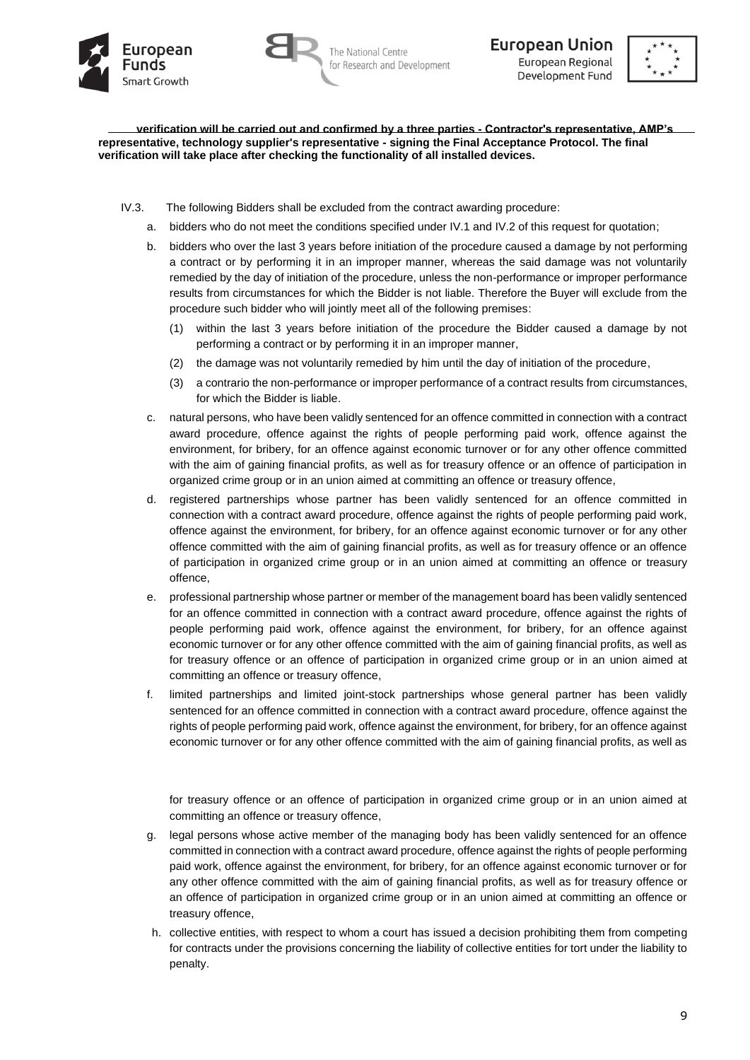





**verification will be carried out and confirmed by a three parties - Contractor's representative, AMP's representative, technology supplier's representative - signing the Final Acceptance Protocol. The final verification will take place after checking the functionality of all installed devices.**

- IV.3. The following Bidders shall be excluded from the contract awarding procedure:
	- a. bidders who do not meet the conditions specified under IV.1 and IV.2 of this request for quotation;
	- b. bidders who over the last 3 years before initiation of the procedure caused a damage by not performing a contract or by performing it in an improper manner, whereas the said damage was not voluntarily remedied by the day of initiation of the procedure, unless the non-performance or improper performance results from circumstances for which the Bidder is not liable. Therefore the Buyer will exclude from the procedure such bidder who will jointly meet all of the following premises:
		- (1) within the last 3 years before initiation of the procedure the Bidder caused a damage by not performing a contract or by performing it in an improper manner,
		- (2) the damage was not voluntarily remedied by him until the day of initiation of the procedure,
		- (3) a contrario the non-performance or improper performance of a contract results from circumstances, for which the Bidder is liable.
	- c. natural persons, who have been validly sentenced for an offence committed in connection with a contract award procedure, offence against the rights of people performing paid work, offence against the environment, for bribery, for an offence against economic turnover or for any other offence committed with the aim of gaining financial profits, as well as for treasury offence or an offence of participation in organized crime group or in an union aimed at committing an offence or treasury offence,
	- d. registered partnerships whose partner has been validly sentenced for an offence committed in connection with a contract award procedure, offence against the rights of people performing paid work, offence against the environment, for bribery, for an offence against economic turnover or for any other offence committed with the aim of gaining financial profits, as well as for treasury offence or an offence of participation in organized crime group or in an union aimed at committing an offence or treasury offence,
	- e. professional partnership whose partner or member of the management board has been validly sentenced for an offence committed in connection with a contract award procedure, offence against the rights of people performing paid work, offence against the environment, for bribery, for an offence against economic turnover or for any other offence committed with the aim of gaining financial profits, as well as for treasury offence or an offence of participation in organized crime group or in an union aimed at committing an offence or treasury offence,
	- f. limited partnerships and limited joint-stock partnerships whose general partner has been validly sentenced for an offence committed in connection with a contract award procedure, offence against the rights of people performing paid work, offence against the environment, for bribery, for an offence against economic turnover or for any other offence committed with the aim of gaining financial profits, as well as

for treasury offence or an offence of participation in organized crime group or in an union aimed at committing an offence or treasury offence,

- g. legal persons whose active member of the managing body has been validly sentenced for an offence committed in connection with a contract award procedure, offence against the rights of people performing paid work, offence against the environment, for bribery, for an offence against economic turnover or for any other offence committed with the aim of gaining financial profits, as well as for treasury offence or an offence of participation in organized crime group or in an union aimed at committing an offence or treasury offence,
- h. collective entities, with respect to whom a court has issued a decision prohibiting them from competing for contracts under the provisions concerning the liability of collective entities for tort under the liability to penalty.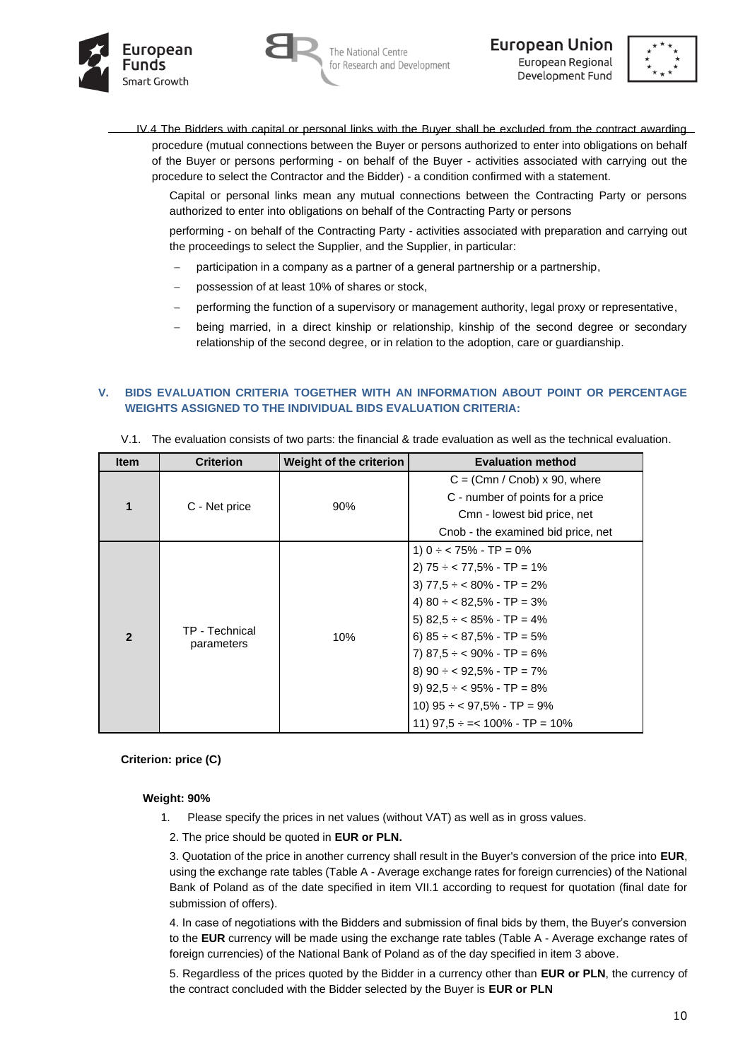



**European Union** European Regional Development Fund



IV.4 The Bidders with capital or personal links with the Buyer shall be excluded from the contract awarding procedure (mutual connections between the Buyer or persons authorized to enter into obligations on behalf of the Buyer or persons performing - on behalf of the Buyer - activities associated with carrying out the procedure to select the Contractor and the Bidder) - a condition confirmed with a statement.

Capital or personal links mean any mutual connections between the Contracting Party or persons authorized to enter into obligations on behalf of the Contracting Party or persons

performing - on behalf of the Contracting Party - activities associated with preparation and carrying out the proceedings to select the Supplier, and the Supplier, in particular:

- participation in a company as a partner of a general partnership or a partnership,
- possession of at least 10% of shares or stock,
- performing the function of a supervisory or management authority, legal proxy or representative,
- being married, in a direct kinship or relationship, kinship of the second degree or secondary relationship of the second degree, or in relation to the adoption, care or guardianship.

## **V. BIDS EVALUATION CRITERIA TOGETHER WITH AN INFORMATION ABOUT POINT OR PERCENTAGE WEIGHTS ASSIGNED TO THE INDIVIDUAL BIDS EVALUATION CRITERIA:**

| <b>Item</b>    | <b>Criterion</b> | <b>Weight of the criterion</b> | <b>Evaluation method</b>             |
|----------------|------------------|--------------------------------|--------------------------------------|
|                |                  |                                | $C = (Cmn / Cnob) \times 90$ , where |
| 1              |                  |                                | C - number of points for a price     |
|                | C - Net price    | 90%                            | Cmn - lowest bid price, net          |
|                |                  |                                | Cnob - the examined bid price, net   |
|                | TP - Technical   |                                | 1) $0 \div 75\%$ - TP = 0%           |
|                |                  |                                | 2) $75 \div 77,5\%$ - TP = 1%        |
|                |                  |                                | 3) $77,5 \div 80\%$ - TP = 2%        |
|                |                  |                                | 4) $80 \div 82,5\%$ - TP = 3%        |
|                |                  |                                | 5) $82,5 \div 85\%$ - TP = 4%        |
| $\overline{2}$ |                  | 10%                            | 6) $85 \div 87,5\%$ - TP = 5%        |
|                | parameters       |                                | 7) $87,5 \div 90\% - TP = 6\%$       |
|                |                  |                                | 8) $90 \div 92.5\%$ - TP = 7%        |
|                |                  |                                | 9) $92.5 \div 95\% - TP = 8\%$       |
|                |                  |                                | 10) $95 \div 97.5\%$ - TP = 9%       |
|                |                  |                                | 11) $97.5 \div = < 100\%$ - TP = 10% |

V.1. The evaluation consists of two parts: the financial & trade evaluation as well as the technical evaluation.

#### **Criterion: price (C)**

#### **Weight: 90%**

- 1. Please specify the prices in net values (without VAT) as well as in gross values.
	- 2. The price should be quoted in **EUR or PLN.**

3. Quotation of the price in another currency shall result in the Buyer's conversion of the price into **EUR**, using the exchange rate tables (Table A - Average exchange rates for foreign currencies) of the National Bank of Poland as of the date specified in item VII.1 according to request for quotation (final date for submission of offers).

4. In case of negotiations with the Bidders and submission of final bids by them, the Buyer's conversion to the **EUR** currency will be made using the exchange rate tables (Table A - Average exchange rates of foreign currencies) of the National Bank of Poland as of the day specified in item 3 above.

5. Regardless of the prices quoted by the Bidder in a currency other than **EUR or PLN**, the currency of the contract concluded with the Bidder selected by the Buyer is **EUR or PLN**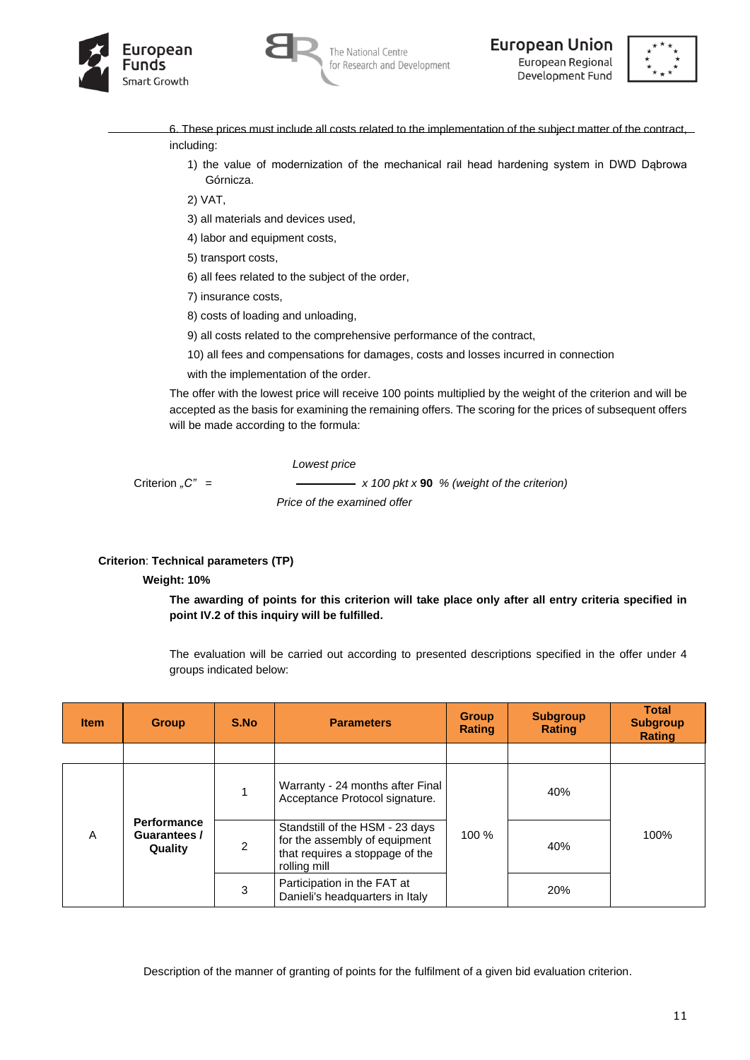





- 6. These prices must include all costs related to the implementation of the subject matter of the contract, including:
	- 1) the value of modernization of the mechanical rail head hardening system in DWD Dąbrowa Górnicza.

2) VAT,

- 3) all materials and devices used,
- 4) labor and equipment costs,
- 5) transport costs,
- 6) all fees related to the subject of the order,
- 7) insurance costs,
- 8) costs of loading and unloading,
- 9) all costs related to the comprehensive performance of the contract,
- 10) all fees and compensations for damages, costs and losses incurred in connection
- with the implementation of the order.

The offer with the lowest price will receive 100 points multiplied by the weight of the criterion and will be accepted as the basis for examining the remaining offers. The scoring for the prices of subsequent offers will be made according to the formula:

*Lowest price*

Criterion <sub>"</sub>C" =  $\longrightarrow x 100 \text{ pk} x 90 \%$  (weight of the criterion)

 *Price of the examined offer*

# **Criterion**: **Technical parameters (TP)**

#### **Weight: 10%**

**The awarding of points for this criterion will take place only after all entry criteria specified in point IV.2 of this inquiry will be fulfilled.**

The evaluation will be carried out according to presented descriptions specified in the offer under 4 groups indicated below:

| <b>Item</b> | <b>Group</b>                                            | S.No | <b>Parameters</b>                                                                                                   | <b>Group</b><br><b>Rating</b> | <b>Subgroup</b><br><b>Rating</b> | <b>Total</b><br><b>Subgroup</b><br><b>Rating</b> |  |
|-------------|---------------------------------------------------------|------|---------------------------------------------------------------------------------------------------------------------|-------------------------------|----------------------------------|--------------------------------------------------|--|
|             |                                                         |      |                                                                                                                     |                               |                                  |                                                  |  |
|             |                                                         |      | Warranty - 24 months after Final<br>Acceptance Protocol signature.                                                  |                               | 40%                              |                                                  |  |
| A           | <b>Performance</b><br>Guarantees /<br>2<br>Quality<br>3 |      | Standstill of the HSM - 23 days<br>for the assembly of equipment<br>that requires a stoppage of the<br>rolling mill | 100 %                         | 40%                              | 100%                                             |  |
|             |                                                         |      | Participation in the FAT at<br>Danieli's headquarters in Italy                                                      |                               | 20%                              |                                                  |  |

Description of the manner of granting of points for the fulfilment of a given bid evaluation criterion.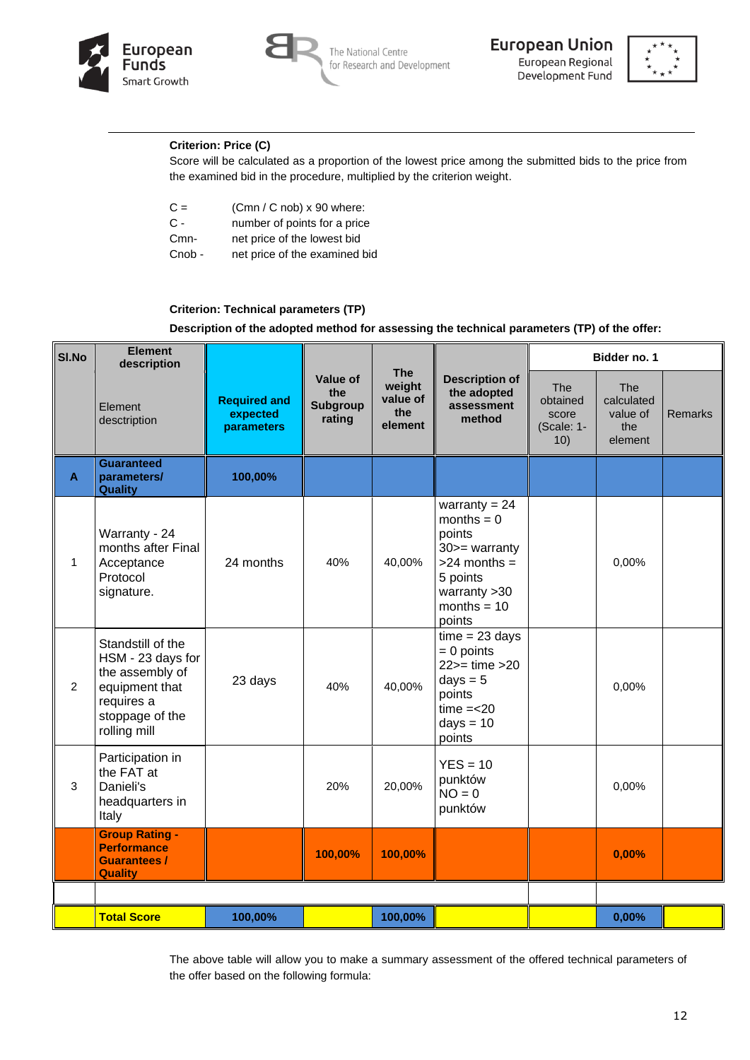





# **Criterion: Price (C)**

Score will be calculated as a proportion of the lowest price among the submitted bids to the price from the examined bid in the procedure, multiplied by the criterion weight.

| $C =$  | $(Cmn / C nob) \times 90$ where: |
|--------|----------------------------------|
| $C -$  | number of points for a price     |
| $Cmn-$ | net price of the lowest bid      |

Cnob - net price of the examined bid

## **Criterion: Technical parameters (TP)**

**Description of the adopted method for assessing the technical parameters (TP) of the offer:**

| SI.No          | <b>Element</b><br>description                                                                                                |                                               |                                                     |                                                    |                                                                                                                                          | Bidder no. 1                                  |                                                        |                |  |
|----------------|------------------------------------------------------------------------------------------------------------------------------|-----------------------------------------------|-----------------------------------------------------|----------------------------------------------------|------------------------------------------------------------------------------------------------------------------------------------------|-----------------------------------------------|--------------------------------------------------------|----------------|--|
|                | Element<br>desctription                                                                                                      | <b>Required and</b><br>expected<br>parameters | <b>Value of</b><br>the<br><b>Subgroup</b><br>rating | <b>The</b><br>weight<br>value of<br>the<br>element | <b>Description of</b><br>the adopted<br>assessment<br>method                                                                             | The<br>obtained<br>score<br>(Scale: 1-<br>10) | <b>The</b><br>calculated<br>value of<br>the<br>element | <b>Remarks</b> |  |
| $\mathbf{A}$   | <b>Guaranteed</b><br>parameters/<br><b>Quality</b>                                                                           | 100,00%                                       |                                                     |                                                    |                                                                                                                                          |                                               |                                                        |                |  |
| 1              | Warranty - 24<br>months after Final<br>Acceptance<br>Protocol<br>signature.                                                  | 24 months                                     | 40%                                                 | 40,00%                                             | warranty = $24$<br>months $= 0$<br>points<br>$30$ > = warranty<br>$>24$ months =<br>5 points<br>warranty > 30<br>months = $10$<br>points |                                               | 0,00%                                                  |                |  |
| $\overline{2}$ | Standstill of the<br>HSM - 23 days for<br>the assembly of<br>equipment that<br>requires a<br>stoppage of the<br>rolling mill | 23 days                                       | 40%                                                 | 40,00%                                             | $time = 23 days$<br>$= 0$ points<br>$22$ = time > $20$<br>$days = 5$<br>points<br>$time = < 20$<br>$days = 10$<br>points                 |                                               | 0,00%                                                  |                |  |
| 3              | Participation in<br>the FAT at<br>Danieli's<br>headquarters in<br>Italy                                                      |                                               | 20%                                                 | 20,00%                                             | $YES = 10$<br>punktów<br>$NO = 0$<br>punktów                                                                                             |                                               | 0,00%                                                  |                |  |
|                | <b>Group Rating -</b><br><b>Performance</b><br><b>Guarantees /</b><br><b>Quality</b>                                         |                                               | 100,00%                                             | 100,00%                                            |                                                                                                                                          |                                               | 0,00%                                                  |                |  |
|                |                                                                                                                              |                                               |                                                     |                                                    |                                                                                                                                          |                                               |                                                        |                |  |
|                | <b>Total Score</b>                                                                                                           | 100,00%                                       |                                                     | 100,00%                                            |                                                                                                                                          |                                               | 0,00%                                                  |                |  |

The above table will allow you to make a summary assessment of the offered technical parameters of the offer based on the following formula: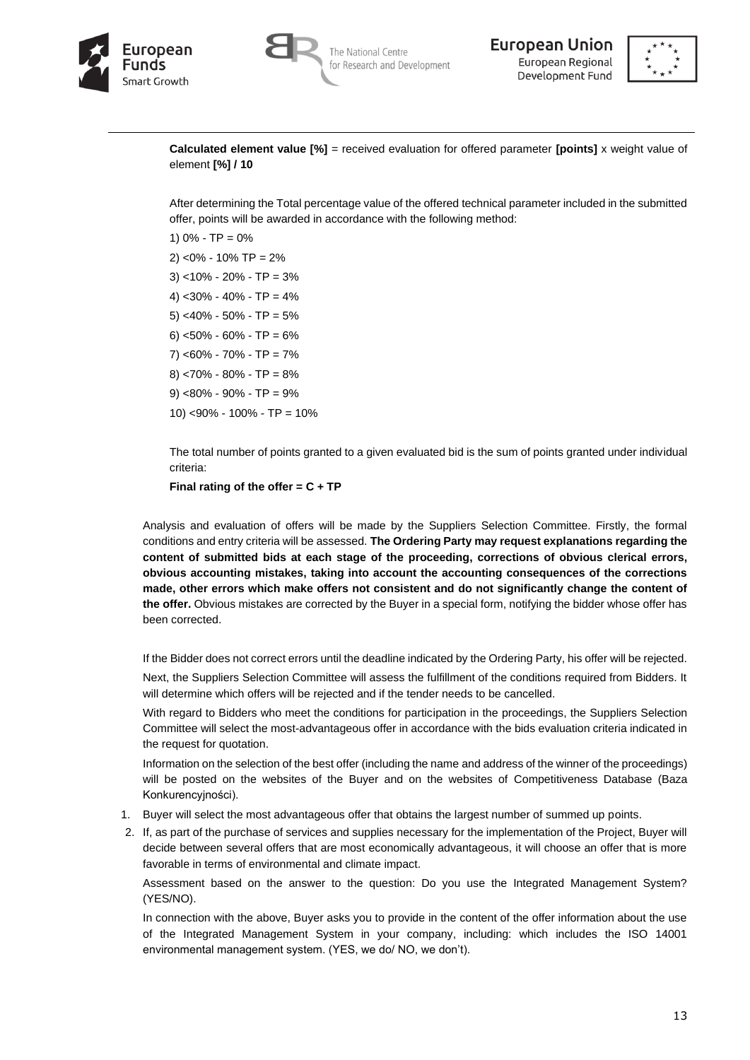





**Calculated element value [%]** = received evaluation for offered parameter **[points]** x weight value of element **[%] / 10**

After determining the Total percentage value of the offered technical parameter included in the submitted offer, points will be awarded in accordance with the following method:

1)  $0\%$  - TP =  $0\%$ 2) <0% - 10% TP = 2% 3) <10% - 20% - TP = 3% 4) <30% - 40% - TP = 4% 5) <40% - 50% - TP = 5% 6) <50% - 60% - TP = 6% 7) <60% - 70% - TP = 7%  $8)$  <70% - 80% - TP = 8% 9) <80% - 90% - TP = 9% 10) <90% - 100% - TP = 10%

The total number of points granted to a given evaluated bid is the sum of points granted under individual criteria:

**Final rating of the offer = C + TP**

Analysis and evaluation of offers will be made by the Suppliers Selection Committee. Firstly, the formal conditions and entry criteria will be assessed. **The Ordering Party may request explanations regarding the content of submitted bids at each stage of the proceeding, corrections of obvious clerical errors, obvious accounting mistakes, taking into account the accounting consequences of the corrections made, other errors which make offers not consistent and do not significantly change the content of the offer.** Obvious mistakes are corrected by the Buyer in a special form, notifying the bidder whose offer has been corrected.

If the Bidder does not correct errors until the deadline indicated by the Ordering Party, his offer will be rejected.

Next, the Suppliers Selection Committee will assess the fulfillment of the conditions required from Bidders. It will determine which offers will be rejected and if the tender needs to be cancelled.

With regard to Bidders who meet the conditions for participation in the proceedings, the Suppliers Selection Committee will select the most-advantageous offer in accordance with the bids evaluation criteria indicated in the request for quotation.

Information on the selection of the best offer (including the name and address of the winner of the proceedings) will be posted on the websites of the Buyer and on the websites of Competitiveness Database (Baza Konkurencyjności).

- 1. Buyer will select the most advantageous offer that obtains the largest number of summed up points.
- 2. If, as part of the purchase of services and supplies necessary for the implementation of the Project, Buyer will decide between several offers that are most economically advantageous, it will choose an offer that is more favorable in terms of environmental and climate impact.

Assessment based on the answer to the question: Do you use the Integrated Management System? (YES/NO).

In connection with the above, Buyer asks you to provide in the content of the offer information about the use of the Integrated Management System in your company, including: which includes the ISO 14001 environmental management system. (YES, we do/ NO, we don't).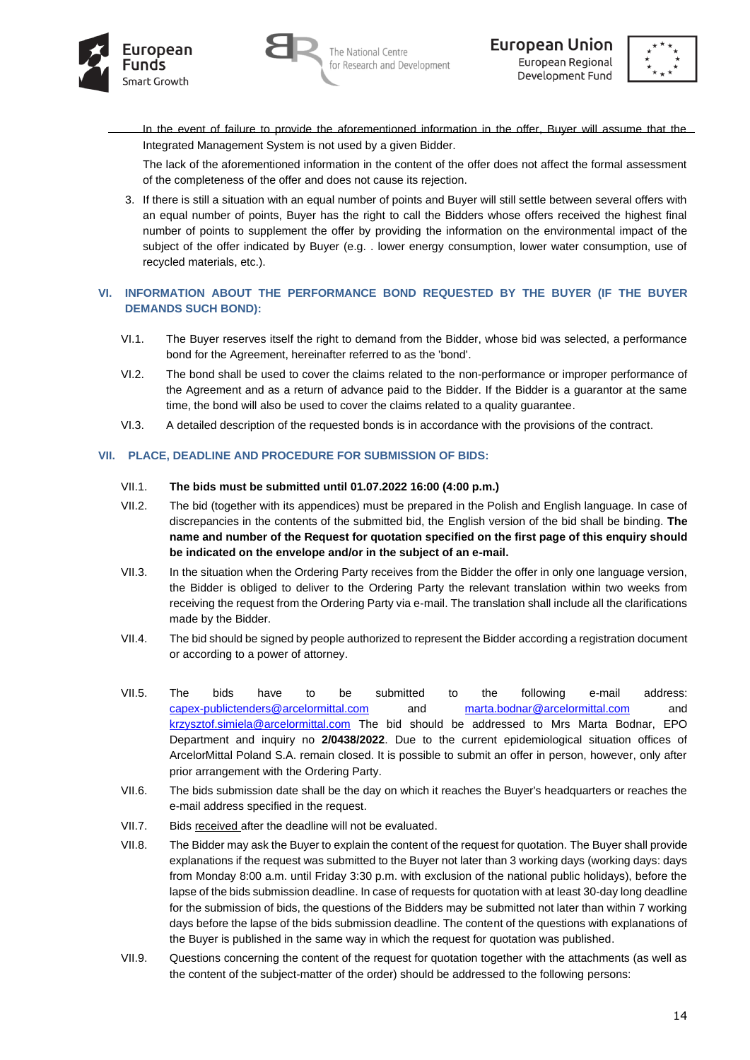





In the event of failure to provide the aforementioned information in the offer, Buyer will assume that the Integrated Management System is not used by a given Bidder.

The lack of the aforementioned information in the content of the offer does not affect the formal assessment of the completeness of the offer and does not cause its rejection.

3. If there is still a situation with an equal number of points and Buyer will still settle between several offers with an equal number of points. Buyer has the right to call the Bidders whose offers received the highest final number of points to supplement the offer by providing the information on the environmental impact of the subject of the offer indicated by Buyer (e.g. . lower energy consumption, lower water consumption, use of recycled materials, etc.).

# **VI. INFORMATION ABOUT THE PERFORMANCE BOND REQUESTED BY THE BUYER (IF THE BUYER DEMANDS SUCH BOND):**

- VI.1. The Buyer reserves itself the right to demand from the Bidder, whose bid was selected, a performance bond for the Agreement, hereinafter referred to as the 'bond'.
- VI.2. The bond shall be used to cover the claims related to the non-performance or improper performance of the Agreement and as a return of advance paid to the Bidder. If the Bidder is a guarantor at the same time, the bond will also be used to cover the claims related to a quality guarantee.
- VI.3. A detailed description of the requested bonds is in accordance with the provisions of the contract.

# **VII. PLACE, DEADLINE AND PROCEDURE FOR SUBMISSION OF BIDS:**

#### VII.1. **The bids must be submitted until 01.07.2022 16:00 (4:00 p.m.)**

- VII.2. The bid (together with its appendices) must be prepared in the Polish and English language. In case of discrepancies in the contents of the submitted bid, the English version of the bid shall be binding. **The name and number of the Request for quotation specified on the first page of this enquiry should be indicated on the envelope and/or in the subject of an e-mail.**
- VII.3. In the situation when the Ordering Party receives from the Bidder the offer in only one language version, the Bidder is obliged to deliver to the Ordering Party the relevant translation within two weeks from receiving the request from the Ordering Party via e-mail. The translation shall include all the clarifications made by the Bidder.
- VII.4. The bid should be signed by people authorized to represent the Bidder according a registration document or according to a power of attorney.
- VII.5. The bids have to be submitted to the following e-mail address: [capex-publictenders@arcelormittal.com](mailto:capex-publictenders@arcelormittal.com) and [marta.bodnar@arcelormittal.com](mailto:marta.bodnar@arcelormittal.com) and [krzysztof.simiela@arcelormittal.com](mailto:krzysztof.simiela@arcelormittal.com) The bid should be addressed to Mrs Marta Bodnar, EPO Department and inquiry no **2/0438/2022**. Due to the current epidemiological situation offices of ArcelorMittal Poland S.A. remain closed. It is possible to submit an offer in person, however, only after prior arrangement with the Ordering Party.
- VII.6. The bids submission date shall be the day on which it reaches the Buyer's headquarters or reaches the e-mail address specified in the request.
- VII.7. Bids received after the deadline will not be evaluated.
- VII.8. The Bidder may ask the Buyer to explain the content of the request for quotation. The Buyer shall provide explanations if the request was submitted to the Buyer not later than 3 working days (working days: days from Monday 8:00 a.m. until Friday 3:30 p.m. with exclusion of the national public holidays), before the lapse of the bids submission deadline. In case of requests for quotation with at least 30-day long deadline for the submission of bids, the questions of the Bidders may be submitted not later than within 7 working days before the lapse of the bids submission deadline. The content of the questions with explanations of the Buyer is published in the same way in which the request for quotation was published.
- VII.9. Questions concerning the content of the request for quotation together with the attachments (as well as the content of the subject-matter of the order) should be addressed to the following persons: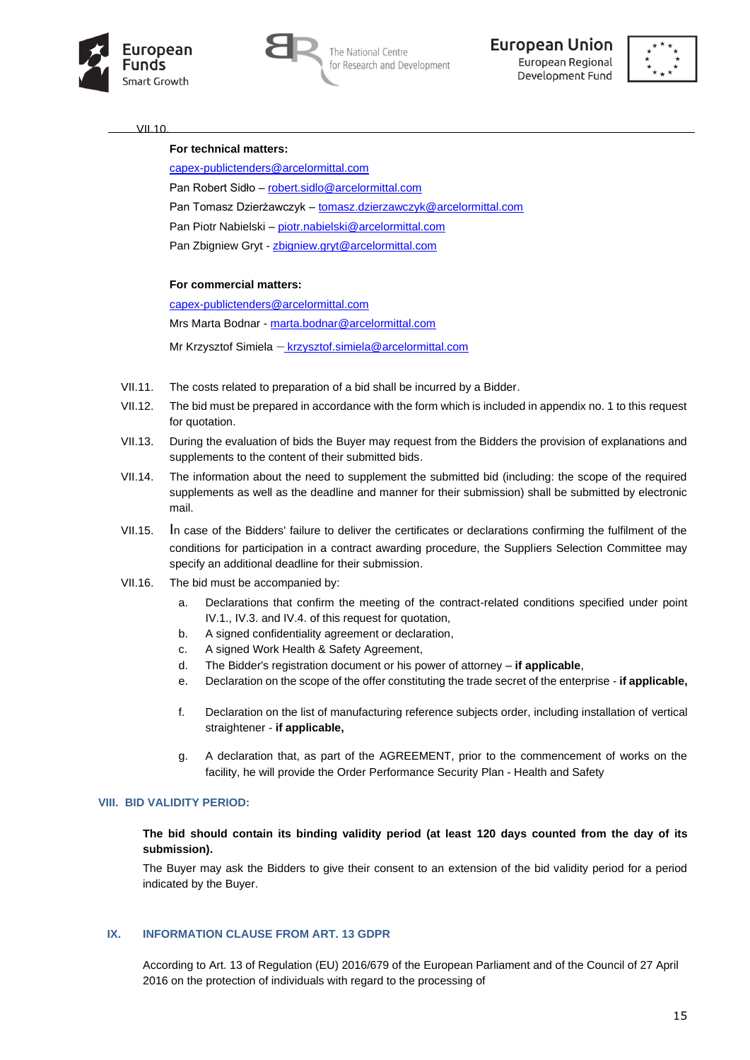



The National Centre for Research and Development





 $VII.10$ 

#### **For technical matters:**

[capex-publictenders@arcelormittal.com](mailto:capex-publictenders@arcelormittal.com@arcelormittal.com) Pan Robert Sidło – [robert.sidlo@arcelormittal.com](mailto:robert.sidlo@arcelormittal.com) Pan Tomasz Dzierżawczyk – [tomasz.dzierzawczyk@arcelormittal.com](mailto:tomasz.dzierzawczyk@arcelormittal.com) Pan Piotr Nabielski – [piotr.nabielski@arcelormittal.com](mailto:piotr.nabielski@arcelormittal.com) Pan Zbigniew Gryt - [zbigniew.gryt@arcelormittal.com](mailto:zbigniew.gryt@arcelormittal.com)

#### **For commercial matters:**

[capex-publictenders@arcelormittal.com](mailto:capex-publictenders@arcelormittal.com@arcelormittal.com) Mrs Marta Bodnar - [marta.bodnar@arcelormittal.com](mailto:marta.bodnar@arcelormittal.com) Mr Krzysztof Simiela – krzysztof.simiela@arcelormittal.com

- VII.11. The costs related to preparation of a bid shall be incurred by a Bidder.
- VII.12. The bid must be prepared in accordance with the form which is included in appendix no. 1 to this request for quotation.
- VII.13. During the evaluation of bids the Buyer may request from the Bidders the provision of explanations and supplements to the content of their submitted bids.
- VII.14. The information about the need to supplement the submitted bid (including: the scope of the required supplements as well as the deadline and manner for their submission) shall be submitted by electronic mail.
- VII.15. In case of the Bidders' failure to deliver the certificates or declarations confirming the fulfilment of the conditions for participation in a contract awarding procedure, the Suppliers Selection Committee may specify an additional deadline for their submission.
- VII.16. The bid must be accompanied by:
	- a. Declarations that confirm the meeting of the contract-related conditions specified under point IV.1., IV.3. and IV.4. of this request for quotation,
	- b. A signed confidentiality agreement or declaration,
	- c. A signed Work Health & Safety Agreement,
	- d. The Bidder's registration document or his power of attorney **if applicable**,
	- e. Declaration on the scope of the offer constituting the trade secret of the enterprise **if applicable,**
	- f. Declaration on the list of manufacturing reference subjects order, including installation of vertical straightener - **if applicable,**
	- g. A declaration that, as part of the AGREEMENT, prior to the commencement of works on the facility, he will provide the Order Performance Security Plan - Health and Safety

#### **VIII. BID VALIDITY PERIOD:**

#### **The bid should contain its binding validity period (at least 120 days counted from the day of its submission).**

The Buyer may ask the Bidders to give their consent to an extension of the bid validity period for a period indicated by the Buyer.

## **IX. INFORMATION CLAUSE FROM ART. 13 GDPR**

According to Art. 13 of Regulation (EU) 2016/679 of the European Parliament and of the Council of 27 April 2016 on the protection of individuals with regard to the processing of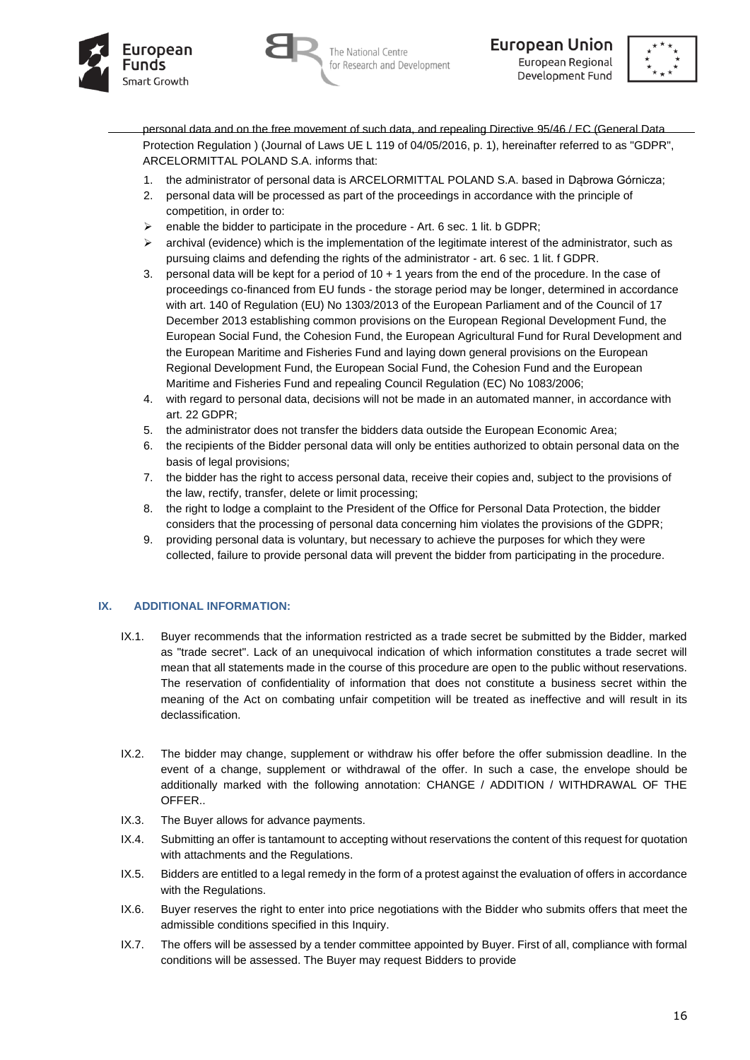





personal data and on the free movement of such data, and repealing Directive 95/46 / EC (General Data Protection Regulation ) (Journal of Laws UE L 119 of 04/05/2016, p. 1), hereinafter referred to as "GDPR", ARCELORMITTAL POLAND S.A. informs that:

- 1. the administrator of personal data is ARCELORMITTAL POLAND S.A. based in Dąbrowa Górnicza;
- 2. personal data will be processed as part of the proceedings in accordance with the principle of competition, in order to:
- ➢ enable the bidder to participate in the procedure Art. 6 sec. 1 lit. b GDPR;
- $\triangleright$  archival (evidence) which is the implementation of the legitimate interest of the administrator, such as pursuing claims and defending the rights of the administrator - art. 6 sec. 1 lit. f GDPR.
- 3. personal data will be kept for a period of 10 + 1 years from the end of the procedure. In the case of proceedings co-financed from EU funds - the storage period may be longer, determined in accordance with art. 140 of Regulation (EU) No 1303/2013 of the European Parliament and of the Council of 17 December 2013 establishing common provisions on the European Regional Development Fund, the European Social Fund, the Cohesion Fund, the European Agricultural Fund for Rural Development and the European Maritime and Fisheries Fund and laying down general provisions on the European Regional Development Fund, the European Social Fund, the Cohesion Fund and the European Maritime and Fisheries Fund and repealing Council Regulation (EC) No 1083/2006;
- 4. with regard to personal data, decisions will not be made in an automated manner, in accordance with art. 22 GDPR;
- 5. the administrator does not transfer the bidders data outside the European Economic Area;
- 6. the recipients of the Bidder personal data will only be entities authorized to obtain personal data on the basis of legal provisions;
- 7. the bidder has the right to access personal data, receive their copies and, subject to the provisions of the law, rectify, transfer, delete or limit processing;
- 8. the right to lodge a complaint to the President of the Office for Personal Data Protection, the bidder considers that the processing of personal data concerning him violates the provisions of the GDPR;
- 9. providing personal data is voluntary, but necessary to achieve the purposes for which they were collected, failure to provide personal data will prevent the bidder from participating in the procedure.

# **IX. ADDITIONAL INFORMATION:**

- IX.1. Buyer recommends that the information restricted as a trade secret be submitted by the Bidder, marked as "trade secret". Lack of an unequivocal indication of which information constitutes a trade secret will mean that all statements made in the course of this procedure are open to the public without reservations. The reservation of confidentiality of information that does not constitute a business secret within the meaning of the Act on combating unfair competition will be treated as ineffective and will result in its declassification.
- IX.2. The bidder may change, supplement or withdraw his offer before the offer submission deadline. In the event of a change, supplement or withdrawal of the offer. In such a case, the envelope should be additionally marked with the following annotation: CHANGE / ADDITION / WITHDRAWAL OF THE OFFER..
- IX.3. The Buyer allows for advance payments.
- IX.4. Submitting an offer is tantamount to accepting without reservations the content of this request for quotation with attachments and the Regulations.
- IX.5. Bidders are entitled to a legal remedy in the form of a protest against the evaluation of offers in accordance with the Regulations.
- IX.6. Buyer reserves the right to enter into price negotiations with the Bidder who submits offers that meet the admissible conditions specified in this Inquiry.
- IX.7. The offers will be assessed by a tender committee appointed by Buyer. First of all, compliance with formal conditions will be assessed. The Buyer may request Bidders to provide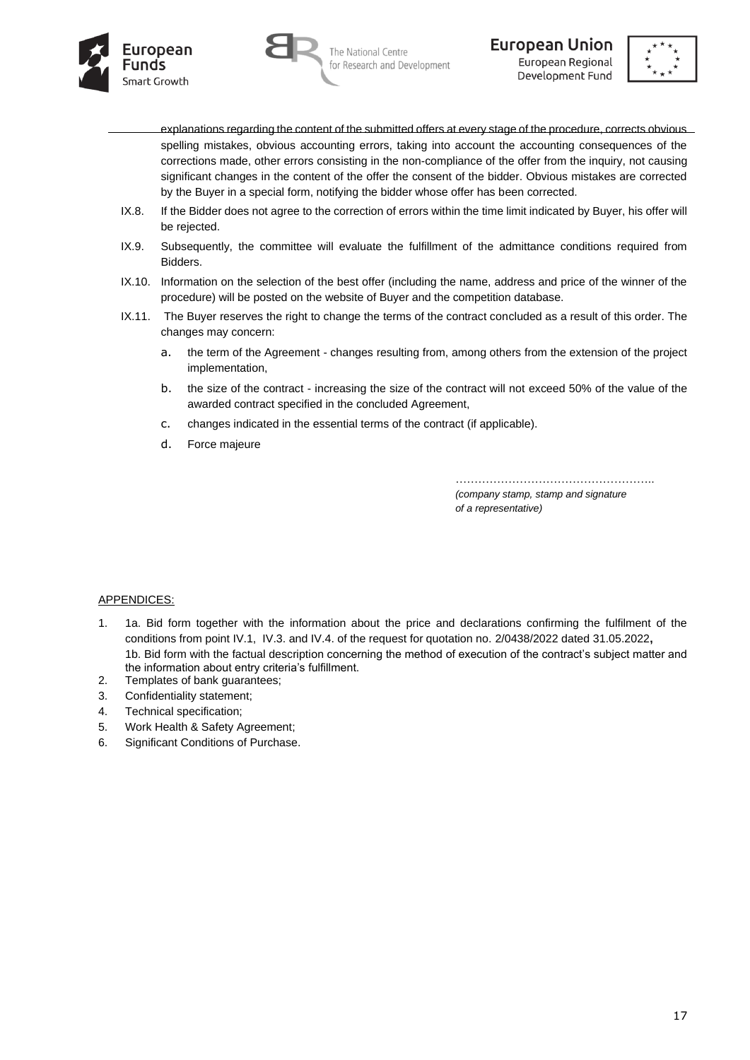



**European Union** European Regional Development Fund



- explanations regarding the content of the submitted offers at every stage of the procedure, corrects obvious spelling mistakes, obvious accounting errors, taking into account the accounting consequences of the corrections made, other errors consisting in the non-compliance of the offer from the inquiry, not causing significant changes in the content of the offer the consent of the bidder. Obvious mistakes are corrected by the Buyer in a special form, notifying the bidder whose offer has been corrected.
- IX.8. If the Bidder does not agree to the correction of errors within the time limit indicated by Buyer, his offer will be rejected.
- IX.9. Subsequently, the committee will evaluate the fulfillment of the admittance conditions required from Bidders.
- IX.10. Information on the selection of the best offer (including the name, address and price of the winner of the procedure) will be posted on the website of Buyer and the competition database.
- IX.11. The Buyer reserves the right to change the terms of the contract concluded as a result of this order. The changes may concern:
	- a. the term of the Agreement changes resulting from, among others from the extension of the project implementation,
	- b. the size of the contract increasing the size of the contract will not exceed 50% of the value of the awarded contract specified in the concluded Agreement,
	- c. changes indicated in the essential terms of the contract (if applicable).
	- d. Force majeure

……………………………………………………………………………

*(company stamp, stamp and signature of a representative)*

#### APPENDICES:

- 1. 1a. Bid form together with the information about the price and declarations confirming the fulfilment of the conditions from point IV.1, IV.3. and IV.4. of the request for quotation no. 2/0438/2022 dated 31.05.2022**,** 1b. Bid form with the factual description concerning the method of execution of the contract's subject matter and the information about entry criteria's fulfillment.
- 2. Templates of bank guarantees;
- 3. Confidentiality statement;
- 4. Technical specification;
- 5. Work Health & Safety Agreement;
- 6. Significant Conditions of Purchase.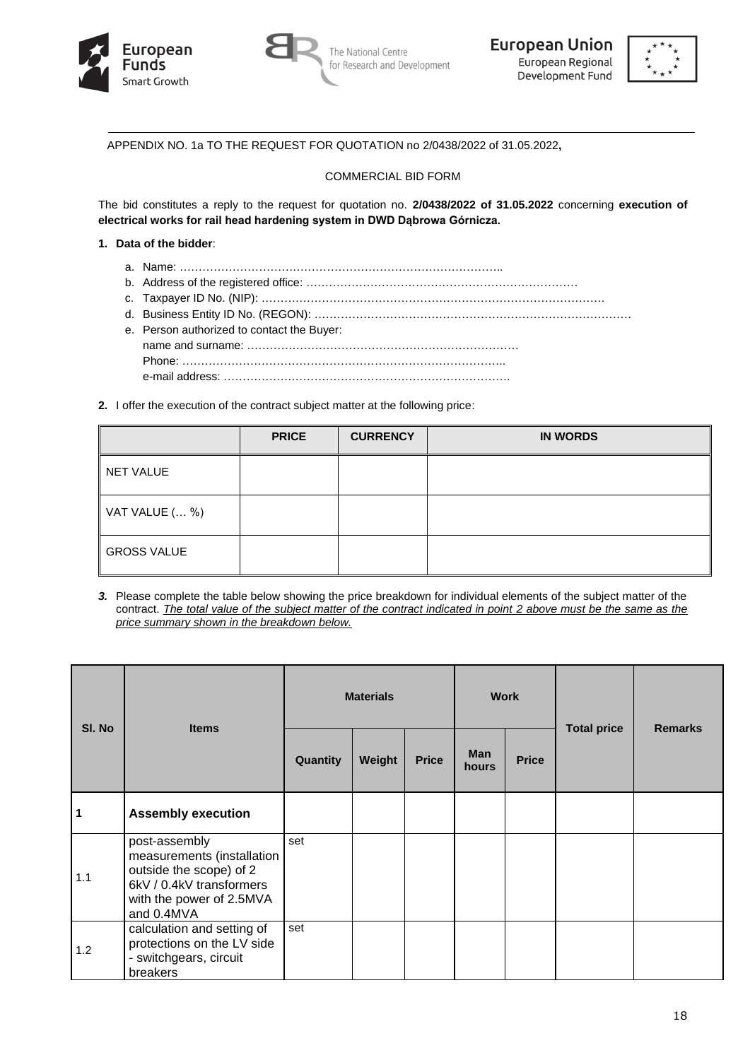





APPENDIX NO. 1a TO THE REQUEST FOR QUOTATION no 2/0438/2022 of 31.05.2022**,**

# COMMERCIAL BID FORM

The bid constitutes a reply to the request for quotation no. **2/0438/2022 of 31.05.2022** concerning **execution of electrical works for rail head hardening system in DWD Dąbrowa Górnicza.**

## **1. Data of the bidder**:

- a. Name: …………………………………………………………………………..
- b. Address of the registered office: ………………………………………………………………
- c. Taxpayer ID No. (NIP): ……………………………………………………………………………….
- d. Business Entity ID No. (REGON): ………………………………………………………………………… e. Person authorized to contact the Buyer: name and surname: ……………………………………………………………… Phone: ………………………………………………………………………….. e-mail address: ………………………………………………………………….
- **2.** I offer the execution of the contract subject matter at the following price:

|                    | <b>PRICE</b> | <b>CURRENCY</b> | <b>IN WORDS</b> |
|--------------------|--------------|-----------------|-----------------|
| NET VALUE          |              |                 |                 |
| VAT VALUE ( %)     |              |                 |                 |
| <b>GROSS VALUE</b> |              |                 |                 |

*3.* Please complete the table below showing the price breakdown for individual elements of the subject matter of the contract. *The total value of the subject matter of the contract indicated in point 2 above must be the same as the price summary shown in the breakdown below.*

| SI. No | <b>Items</b>                                                                                                                                 | <b>Materials</b> |        |              | <b>Work</b>         |              |                    | <b>Remarks</b> |
|--------|----------------------------------------------------------------------------------------------------------------------------------------------|------------------|--------|--------------|---------------------|--------------|--------------------|----------------|
|        |                                                                                                                                              | Quantity         | Weight | <b>Price</b> | <b>Man</b><br>hours | <b>Price</b> | <b>Total price</b> |                |
| 1      | <b>Assembly execution</b>                                                                                                                    |                  |        |              |                     |              |                    |                |
| 1.1    | post-assembly<br>measurements (installation<br>outside the scope) of 2<br>6kV / 0.4kV transformers<br>with the power of 2.5MVA<br>and 0.4MVA | set              |        |              |                     |              |                    |                |
| 1.2    | calculation and setting of<br>protections on the LV side<br>- switchgears, circuit<br>breakers                                               | set              |        |              |                     |              |                    |                |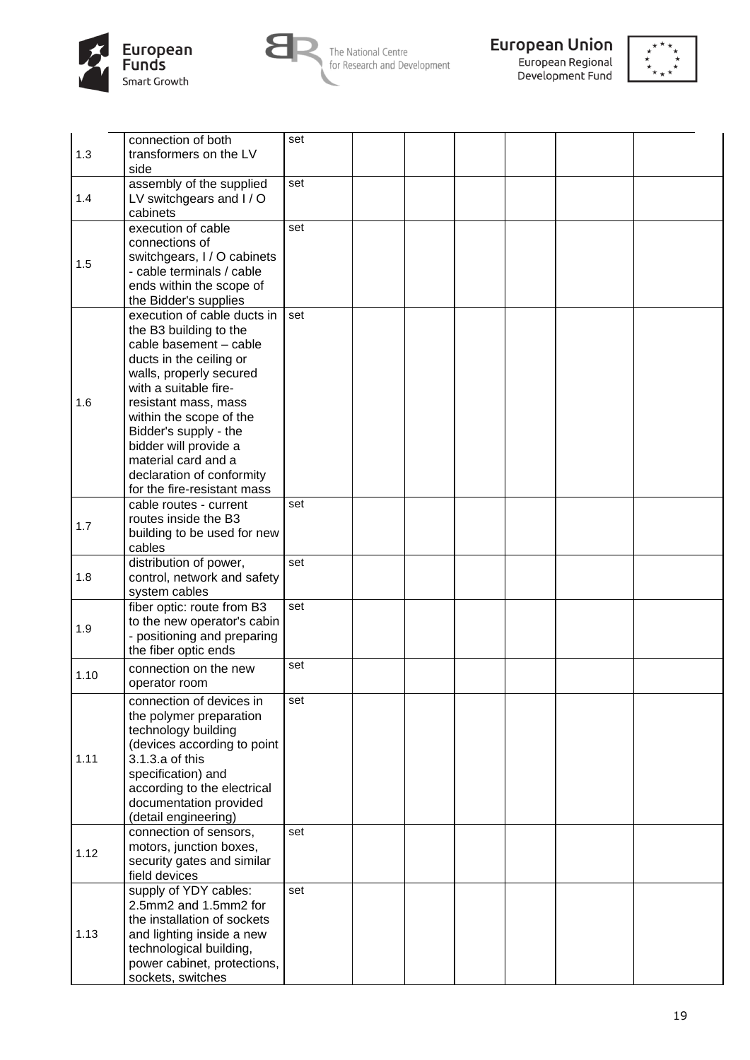



The National Centre<br>for Research and Development





| 1.3  | connection of both<br>transformers on the LV<br>side                                                                                                                                                                                                                                                                                                   | set |  |  |  |
|------|--------------------------------------------------------------------------------------------------------------------------------------------------------------------------------------------------------------------------------------------------------------------------------------------------------------------------------------------------------|-----|--|--|--|
| 1.4  | assembly of the supplied<br>LV switchgears and I / O<br>cabinets                                                                                                                                                                                                                                                                                       | set |  |  |  |
| 1.5  | execution of cable<br>connections of<br>switchgears, I / O cabinets<br>- cable terminals / cable<br>ends within the scope of<br>the Bidder's supplies                                                                                                                                                                                                  | set |  |  |  |
| 1.6  | execution of cable ducts in<br>the B3 building to the<br>cable basement - cable<br>ducts in the ceiling or<br>walls, properly secured<br>with a suitable fire-<br>resistant mass, mass<br>within the scope of the<br>Bidder's supply - the<br>bidder will provide a<br>material card and a<br>declaration of conformity<br>for the fire-resistant mass | set |  |  |  |
| 1.7  | cable routes - current<br>routes inside the B3<br>building to be used for new<br>cables                                                                                                                                                                                                                                                                | set |  |  |  |
| 1.8  | distribution of power,<br>control, network and safety<br>system cables                                                                                                                                                                                                                                                                                 | set |  |  |  |
| 1.9  | fiber optic: route from B3<br>to the new operator's cabin<br>- positioning and preparing<br>the fiber optic ends                                                                                                                                                                                                                                       | set |  |  |  |
| 1.10 | connection on the new<br>operator room                                                                                                                                                                                                                                                                                                                 | set |  |  |  |
| 1.11 | connection of devices in<br>the polymer preparation<br>technology building<br>(devices according to point<br>3.1.3.a of this<br>specification) and<br>according to the electrical<br>documentation provided<br>(detail engineering)                                                                                                                    | set |  |  |  |
| 1.12 | connection of sensors,<br>motors, junction boxes,<br>security gates and similar<br>field devices                                                                                                                                                                                                                                                       | set |  |  |  |
| 1.13 | supply of YDY cables:<br>2.5mm2 and 1.5mm2 for<br>the installation of sockets<br>and lighting inside a new<br>technological building,<br>power cabinet, protections,<br>sockets, switches                                                                                                                                                              | set |  |  |  |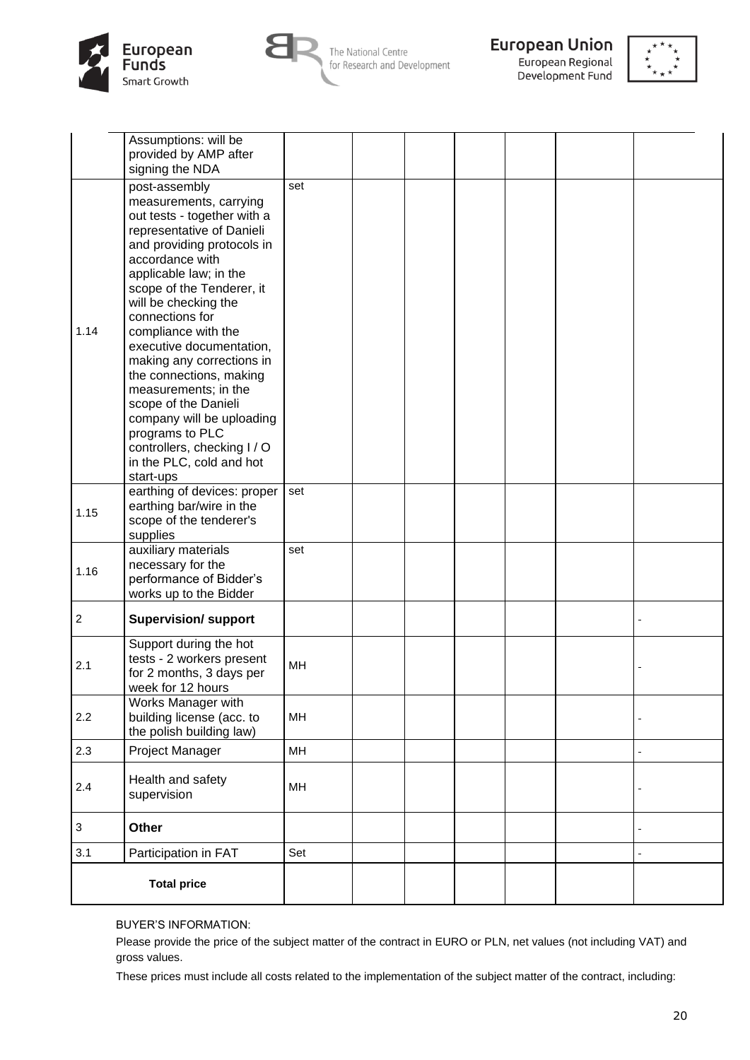



The National Centre for Research and Development



European Regional Development Fund



|                  | Assumptions: will be<br>provided by AMP after<br>signing the NDA                                                                                                                                                                                                                                                                                                                                                                                                                                                                          |     |  |  |  |
|------------------|-------------------------------------------------------------------------------------------------------------------------------------------------------------------------------------------------------------------------------------------------------------------------------------------------------------------------------------------------------------------------------------------------------------------------------------------------------------------------------------------------------------------------------------------|-----|--|--|--|
| 1.14             | post-assembly<br>measurements, carrying<br>out tests - together with a<br>representative of Danieli<br>and providing protocols in<br>accordance with<br>applicable law; in the<br>scope of the Tenderer, it<br>will be checking the<br>connections for<br>compliance with the<br>executive documentation,<br>making any corrections in<br>the connections, making<br>measurements; in the<br>scope of the Danieli<br>company will be uploading<br>programs to PLC<br>controllers, checking I / O<br>in the PLC, cold and hot<br>start-ups | set |  |  |  |
| 1.15             | earthing of devices: proper<br>earthing bar/wire in the<br>scope of the tenderer's<br>supplies                                                                                                                                                                                                                                                                                                                                                                                                                                            | set |  |  |  |
| 1.16             | auxiliary materials<br>necessary for the<br>performance of Bidder's<br>works up to the Bidder                                                                                                                                                                                                                                                                                                                                                                                                                                             | set |  |  |  |
| $\boldsymbol{2}$ | <b>Supervision/ support</b>                                                                                                                                                                                                                                                                                                                                                                                                                                                                                                               |     |  |  |  |
| 2.1              | Support during the hot<br>tests - 2 workers present<br>for 2 months, 3 days per<br>week for 12 hours                                                                                                                                                                                                                                                                                                                                                                                                                                      | MH  |  |  |  |
| 2.2              | Works Manager with<br>building license (acc. to<br>the polish building law)                                                                                                                                                                                                                                                                                                                                                                                                                                                               | MH  |  |  |  |
| 2.3              | Project Manager                                                                                                                                                                                                                                                                                                                                                                                                                                                                                                                           | MH  |  |  |  |
| 2.4              | Health and safety<br>supervision                                                                                                                                                                                                                                                                                                                                                                                                                                                                                                          | MH  |  |  |  |
| $\sqrt{3}$       | Other                                                                                                                                                                                                                                                                                                                                                                                                                                                                                                                                     |     |  |  |  |
| 3.1              | Participation in FAT                                                                                                                                                                                                                                                                                                                                                                                                                                                                                                                      | Set |  |  |  |
|                  | <b>Total price</b>                                                                                                                                                                                                                                                                                                                                                                                                                                                                                                                        |     |  |  |  |

### BUYER'S INFORMATION:

Please provide the price of the subject matter of the contract in EURO or PLN, net values (not including VAT) and gross values.

These prices must include all costs related to the implementation of the subject matter of the contract, including: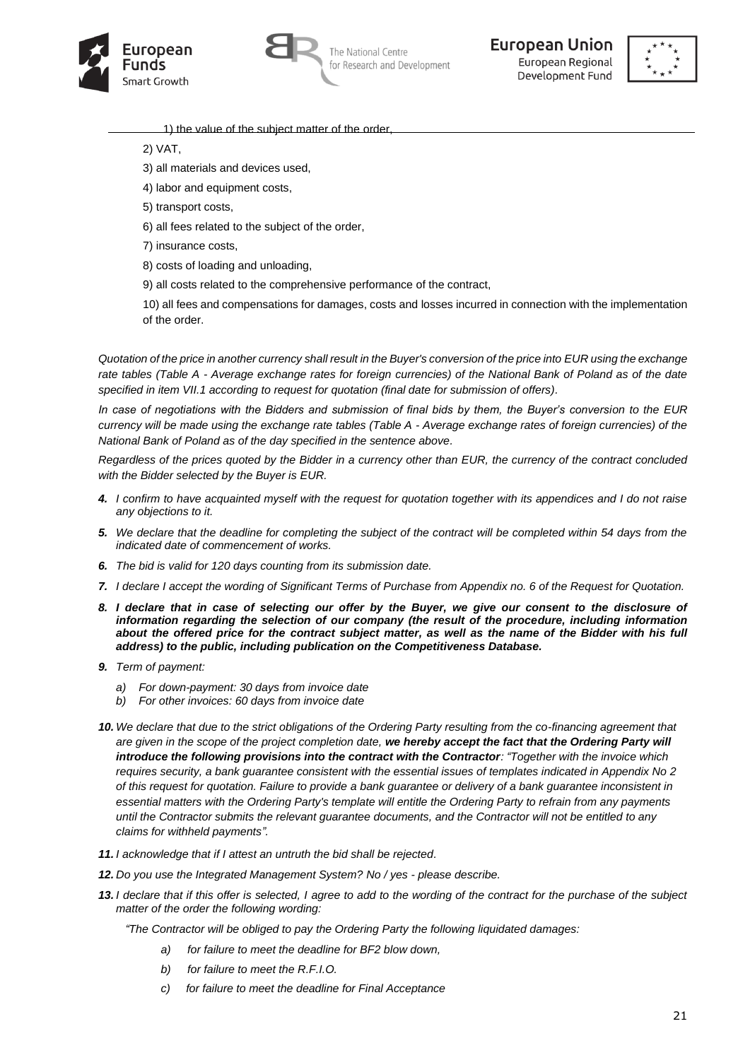





- 1) the value of the subject matter of the order
- 2) VAT,
- 3) all materials and devices used,
- 4) labor and equipment costs,
- 5) transport costs,
- 6) all fees related to the subject of the order,
- 7) insurance costs,
- 8) costs of loading and unloading,
- 9) all costs related to the comprehensive performance of the contract,
- 10) all fees and compensations for damages, costs and losses incurred in connection with the implementation of the order.

*Quotation of the price in another currency shall result in the Buyer's conversion of the price into EUR using the exchange rate tables (Table A - Average exchange rates for foreign currencies) of the National Bank of Poland as of the date specified in item VII.1 according to request for quotation (final date for submission of offers).* 

*In case of negotiations with the Bidders and submission of final bids by them, the Buyer's conversion to the EUR currency will be made using the exchange rate tables (Table A - Average exchange rates of foreign currencies) of the National Bank of Poland as of the day specified in the sentence above.*

*Regardless of the prices quoted by the Bidder in a currency other than EUR, the currency of the contract concluded with the Bidder selected by the Buyer is EUR.* 

- *4. I confirm to have acquainted myself with the request for quotation together with its appendices and I do not raise any objections to it.*
- *5. We declare that the deadline for completing the subject of the contract will be completed within 54 days from the indicated date of commencement of works.*
- *6. The bid is valid for 120 days counting from its submission date.*
- *7. I declare I accept the wording of Significant Terms of Purchase from Appendix no. 6 of the Request for Quotation.*
- *8. I declare that in case of selecting our offer by the Buyer, we give our consent to the disclosure of information regarding the selection of our company (the result of the procedure, including information about the offered price for the contract subject matter, as well as the name of the Bidder with his full address) to the public, including publication on the Competitiveness Database.*
- *9. Term of payment:* 
	- *a) For down-payment: 30 days from invoice date*
	- *b) For other invoices: 60 days from invoice date*
- *10. We declare that due to the strict obligations of the Ordering Party resulting from the co-financing agreement that are given in the scope of the project completion date, we hereby accept the fact that the Ordering Party will introduce the following provisions into the contract with the Contractor: "Together with the invoice which requires security, a bank guarantee consistent with the essential issues of templates indicated in Appendix No 2 of this request for quotation. Failure to provide a bank guarantee or delivery of a bank guarantee inconsistent in essential matters with the Ordering Party's template will entitle the Ordering Party to refrain from any payments until the Contractor submits the relevant guarantee documents, and the Contractor will not be entitled to any claims for withheld payments".*
- *11. I acknowledge that if I attest an untruth the bid shall be rejected.*
- *12. Do you use the Integrated Management System? No / yes - please describe.*
- *13. I declare that if this offer is selected, I agree to add to the wording of the contract for the purchase of the subject matter of the order the following wording:*

*"The Contractor will be obliged to pay the Ordering Party the following liquidated damages:*

- *a) for failure to meet the deadline for BF2 blow down,*
- *b) for failure to meet the R.F.I.O.*
- *c) for failure to meet the deadline for Final Acceptance*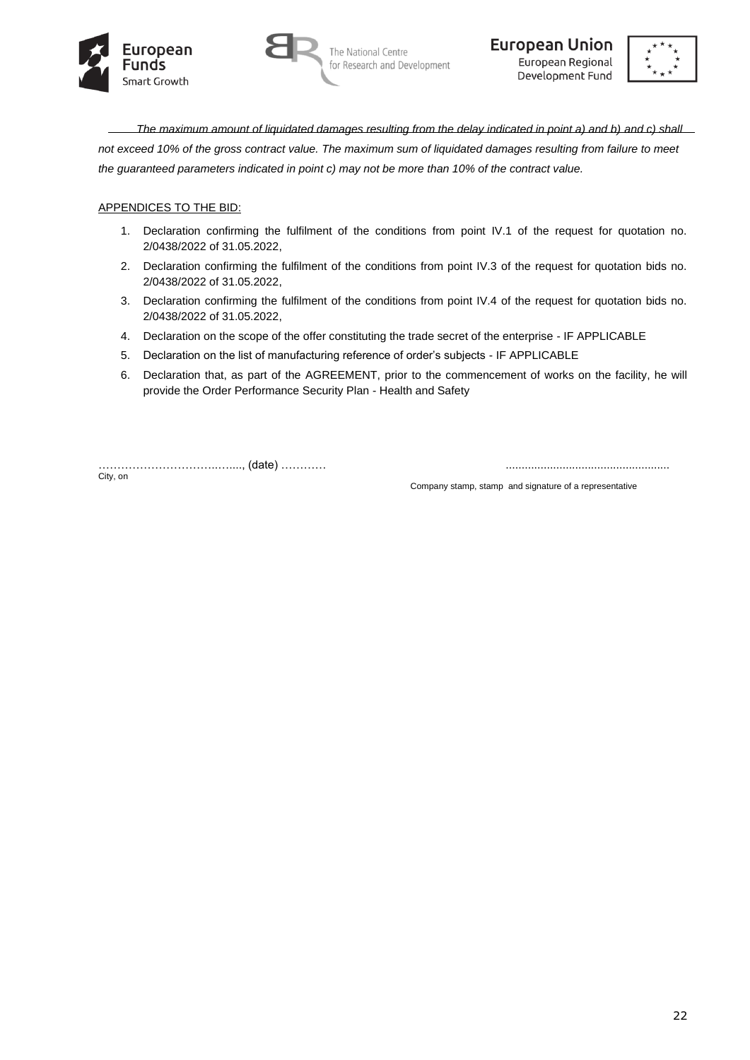





*The maximum amount of liquidated damages resulting from the delay indicated in point a) and b) and c) shall not exceed 10% of the gross contract value. The maximum sum of liquidated damages resulting from failure to meet the guaranteed parameters indicated in point c) may not be more than 10% of the contract value.*

# APPENDICES TO THE BID:

- 1. Declaration confirming the fulfilment of the conditions from point IV.1 of the request for quotation no. 2/0438/2022 of 31.05.2022,
- 2. Declaration confirming the fulfilment of the conditions from point IV.3 of the request for quotation bids no. 2/0438/2022 of 31.05.2022,
- 3. Declaration confirming the fulfilment of the conditions from point IV.4 of the request for quotation bids no. 2/0438/2022 of 31.05.2022,
- 4. Declaration on the scope of the offer constituting the trade secret of the enterprise IF APPLICABLE
- 5. Declaration on the list of manufacturing reference of order's subjects IF APPLICABLE
- 6. Declaration that, as part of the AGREEMENT, prior to the commencement of works on the facility, he will provide the Order Performance Security Plan - Health and Safety

…………………………..…...., (date) ………… .................................................... City, on

Company stamp, stamp and signature of a representative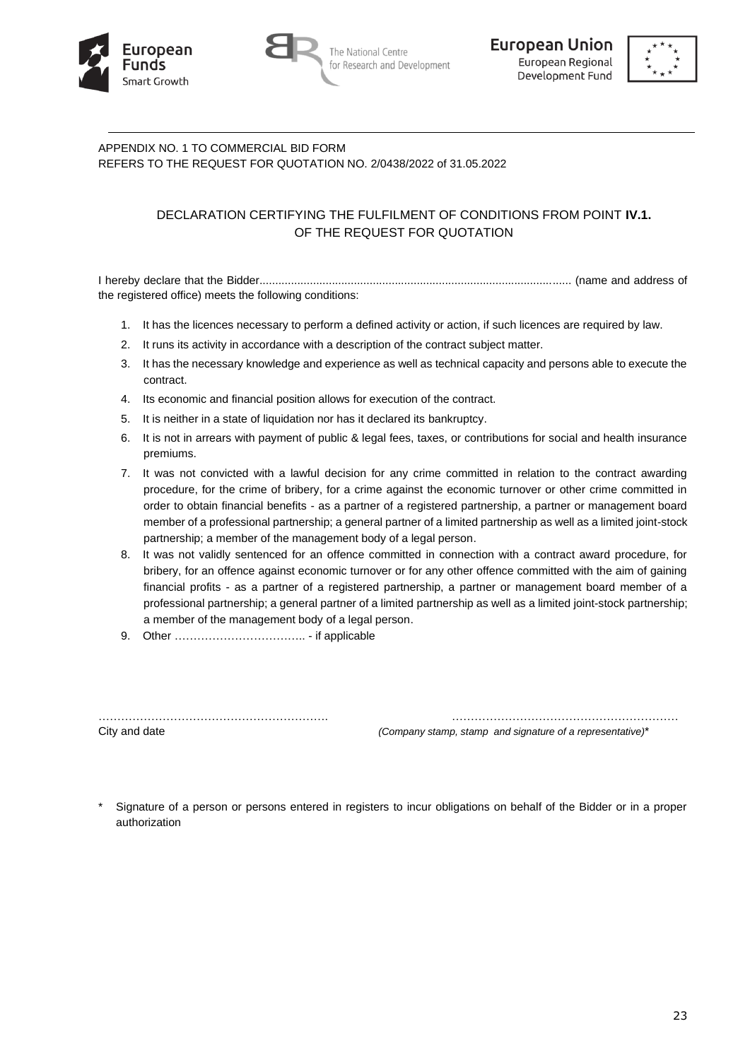





# APPENDIX NO. 1 TO COMMERCIAL BID FORM REFERS TO THE REQUEST FOR QUOTATION NO. 2/0438/2022 of 31.05.2022

# DECLARATION CERTIFYING THE FULFILMENT OF CONDITIONS FROM POINT **IV.1.** OF THE REQUEST FOR QUOTATION

I hereby declare that the Bidder................................................................................................... (name and address of the registered office) meets the following conditions:

- 1. It has the licences necessary to perform a defined activity or action, if such licences are required by law.
- 2. It runs its activity in accordance with a description of the contract subject matter.
- 3. It has the necessary knowledge and experience as well as technical capacity and persons able to execute the contract.
- 4. Its economic and financial position allows for execution of the contract.
- 5. It is neither in a state of liquidation nor has it declared its bankruptcy.
- 6. It is not in arrears with payment of public & legal fees, taxes, or contributions for social and health insurance premiums.
- 7. It was not convicted with a lawful decision for any crime committed in relation to the contract awarding procedure, for the crime of bribery, for a crime against the economic turnover or other crime committed in order to obtain financial benefits - as a partner of a registered partnership, a partner or management board member of a professional partnership; a general partner of a limited partnership as well as a limited joint-stock partnership; a member of the management body of a legal person.
- 8. It was not validly sentenced for an offence committed in connection with a contract award procedure, for bribery, for an offence against economic turnover or for any other offence committed with the aim of gaining financial profits - as a partner of a registered partnership, a partner or management board member of a professional partnership; a general partner of a limited partnership as well as a limited joint-stock partnership; a member of the management body of a legal person.
- 9. Other …………………………….. if applicable

……………………………………………………. ……………………………………………………

City and date *(Company stamp, stamp and signature of a representative)*\*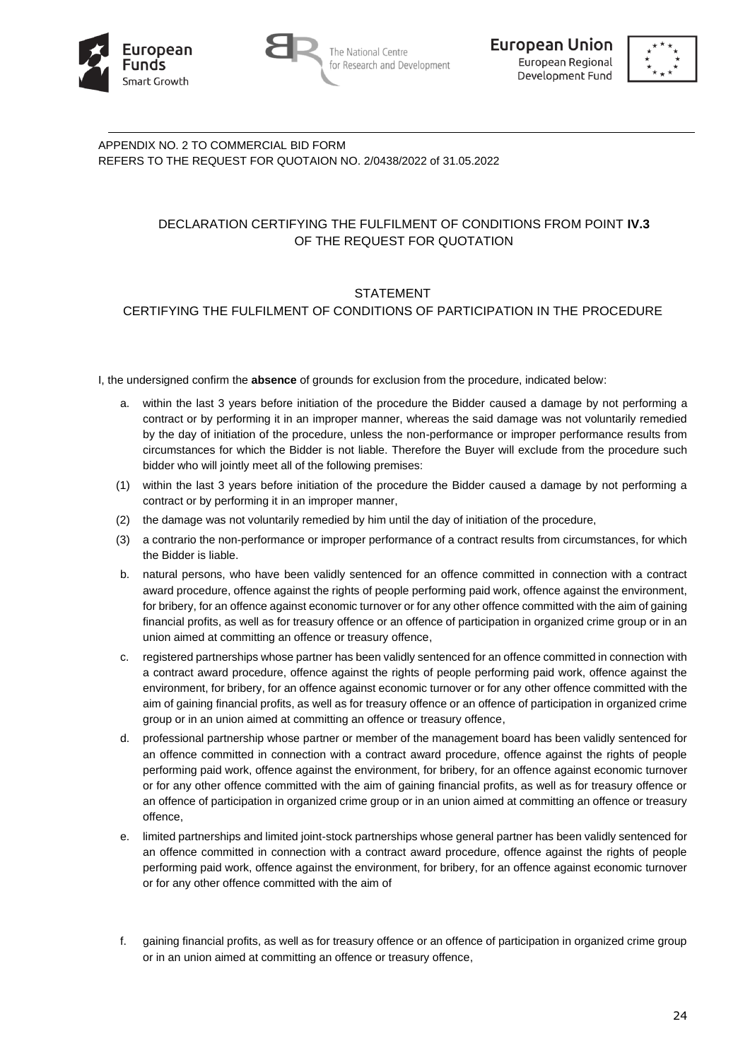





APPENDIX NO. 2 TO COMMERCIAL BID FORM REFERS TO THE REQUEST FOR QUOTAION NO. 2/0438/2022 of 31.05.2022

# DECLARATION CERTIFYING THE FULFILMENT OF CONDITIONS FROM POINT **IV.3** OF THE REQUEST FOR QUOTATION

# STATEMENT

# CERTIFYING THE FULFILMENT OF CONDITIONS OF PARTICIPATION IN THE PROCEDURE

I, the undersigned confirm the **absence** of grounds for exclusion from the procedure, indicated below:

- a. within the last 3 years before initiation of the procedure the Bidder caused a damage by not performing a contract or by performing it in an improper manner, whereas the said damage was not voluntarily remedied by the day of initiation of the procedure, unless the non-performance or improper performance results from circumstances for which the Bidder is not liable. Therefore the Buyer will exclude from the procedure such bidder who will jointly meet all of the following premises:
- (1) within the last 3 years before initiation of the procedure the Bidder caused a damage by not performing a contract or by performing it in an improper manner,
- (2) the damage was not voluntarily remedied by him until the day of initiation of the procedure,
- (3) a contrario the non-performance or improper performance of a contract results from circumstances, for which the Bidder is liable.
- b. natural persons, who have been validly sentenced for an offence committed in connection with a contract award procedure, offence against the rights of people performing paid work, offence against the environment, for bribery, for an offence against economic turnover or for any other offence committed with the aim of gaining financial profits, as well as for treasury offence or an offence of participation in organized crime group or in an union aimed at committing an offence or treasury offence,
- c. registered partnerships whose partner has been validly sentenced for an offence committed in connection with a contract award procedure, offence against the rights of people performing paid work, offence against the environment, for bribery, for an offence against economic turnover or for any other offence committed with the aim of gaining financial profits, as well as for treasury offence or an offence of participation in organized crime group or in an union aimed at committing an offence or treasury offence,
- d. professional partnership whose partner or member of the management board has been validly sentenced for an offence committed in connection with a contract award procedure, offence against the rights of people performing paid work, offence against the environment, for bribery, for an offence against economic turnover or for any other offence committed with the aim of gaining financial profits, as well as for treasury offence or an offence of participation in organized crime group or in an union aimed at committing an offence or treasury offence,
- e. limited partnerships and limited joint-stock partnerships whose general partner has been validly sentenced for an offence committed in connection with a contract award procedure, offence against the rights of people performing paid work, offence against the environment, for bribery, for an offence against economic turnover or for any other offence committed with the aim of
- f. gaining financial profits, as well as for treasury offence or an offence of participation in organized crime group or in an union aimed at committing an offence or treasury offence,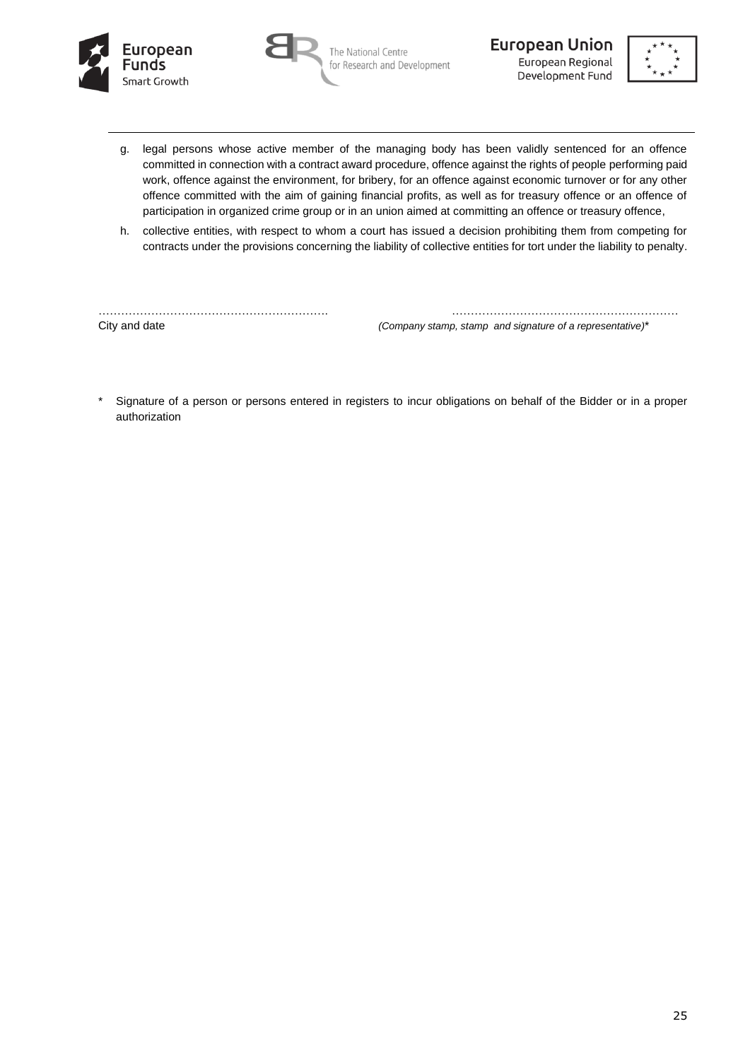





- g. legal persons whose active member of the managing body has been validly sentenced for an offence committed in connection with a contract award procedure, offence against the rights of people performing paid work, offence against the environment, for bribery, for an offence against economic turnover or for any other offence committed with the aim of gaining financial profits, as well as for treasury offence or an offence of participation in organized crime group or in an union aimed at committing an offence or treasury offence,
- h. collective entities, with respect to whom a court has issued a decision prohibiting them from competing for contracts under the provisions concerning the liability of collective entities for tort under the liability to penalty.

……………………………………………………. …………………………………………………… City and date *(Company stamp, stamp and signature of a representative)*\*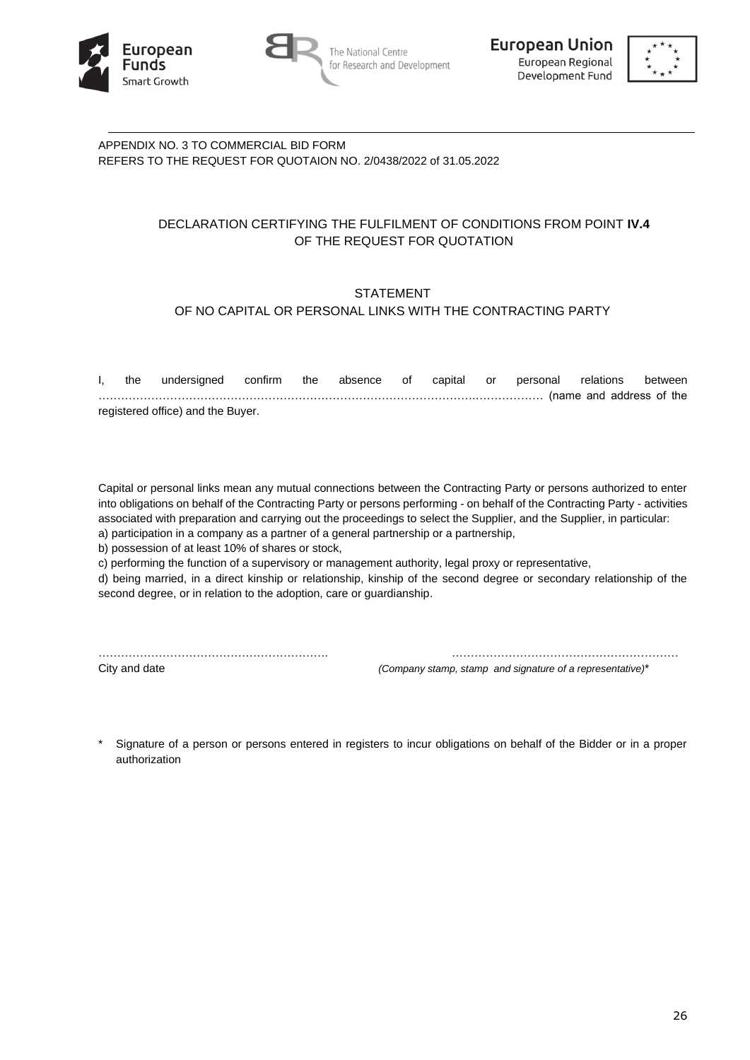





APPENDIX NO. 3 TO COMMERCIAL BID FORM REFERS TO THE REQUEST FOR QUOTAION NO. 2/0438/2022 of 31.05.2022

# DECLARATION CERTIFYING THE FULFILMENT OF CONDITIONS FROM POINT **IV.4** OF THE REQUEST FOR QUOTATION

# STATEMENT OF NO CAPITAL OR PERSONAL LINKS WITH THE CONTRACTING PARTY

| the                               | undersigned confirm the absence of capital or personal relations between |  |  |  |  |  |  |                                                         |  |  |
|-----------------------------------|--------------------------------------------------------------------------|--|--|--|--|--|--|---------------------------------------------------------|--|--|
|                                   |                                                                          |  |  |  |  |  |  | ………………………………………………………………………………(name_and_address_of_the_ |  |  |
| registered office) and the Buyer. |                                                                          |  |  |  |  |  |  |                                                         |  |  |

Capital or personal links mean any mutual connections between the Contracting Party or persons authorized to enter into obligations on behalf of the Contracting Party or persons performing - on behalf of the Contracting Party - activities associated with preparation and carrying out the proceedings to select the Supplier, and the Supplier, in particular: a) participation in a company as a partner of a general partnership or a partnership,

b) possession of at least 10% of shares or stock,

c) performing the function of a supervisory or management authority, legal proxy or representative,

d) being married, in a direct kinship or relationship, kinship of the second degree or secondary relationship of the second degree, or in relation to the adoption, care or guardianship.

……………………………………………………. ……………………………………………………

City and date *(Company stamp, stamp and signature of a representative)*\*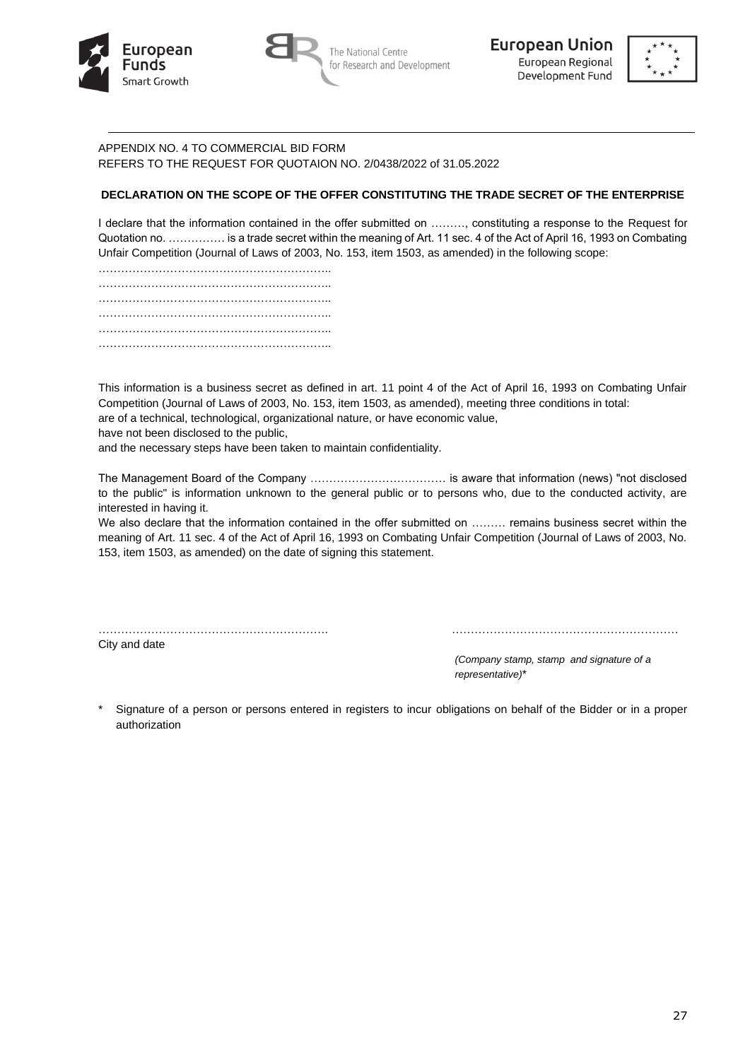





# APPENDIX NO. 4 TO COMMERCIAL BID FORM REFERS TO THE REQUEST FOR QUOTAION NO. 2/0438/2022 of 31.05.2022

# **DECLARATION ON THE SCOPE OF THE OFFER CONSTITUTING THE TRADE SECRET OF THE ENTERPRISE**

I declare that the information contained in the offer submitted on ………, constituting a response to the Request for Quotation no. …………… is a trade secret within the meaning of Art. 11 sec. 4 of the Act of April 16, 1993 on Combating Unfair Competition (Journal of Laws of 2003, No. 153, item 1503, as amended) in the following scope:

…………………………………………………….. …………………………………………………….. …………………………………………………….. …………………………………………………….. …………………………………………………….. …………………………………………………………………

This information is a business secret as defined in art. 11 point 4 of the Act of April 16, 1993 on Combating Unfair Competition (Journal of Laws of 2003, No. 153, item 1503, as amended), meeting three conditions in total:

are of a technical, technological, organizational nature, or have economic value,

have not been disclosed to the public,

and the necessary steps have been taken to maintain confidentiality.

The Management Board of the Company ……………………………… is aware that information (news) "not disclosed to the public" is information unknown to the general public or to persons who, due to the conducted activity, are interested in having it.

We also declare that the information contained in the offer submitted on ......... remains business secret within the meaning of Art. 11 sec. 4 of the Act of April 16, 1993 on Combating Unfair Competition (Journal of Laws of 2003, No. 153, item 1503, as amended) on the date of signing this statement.

……………………………………………………. ……………………………………………………

City and date

*(Company stamp, stamp and signature of a representative)*\*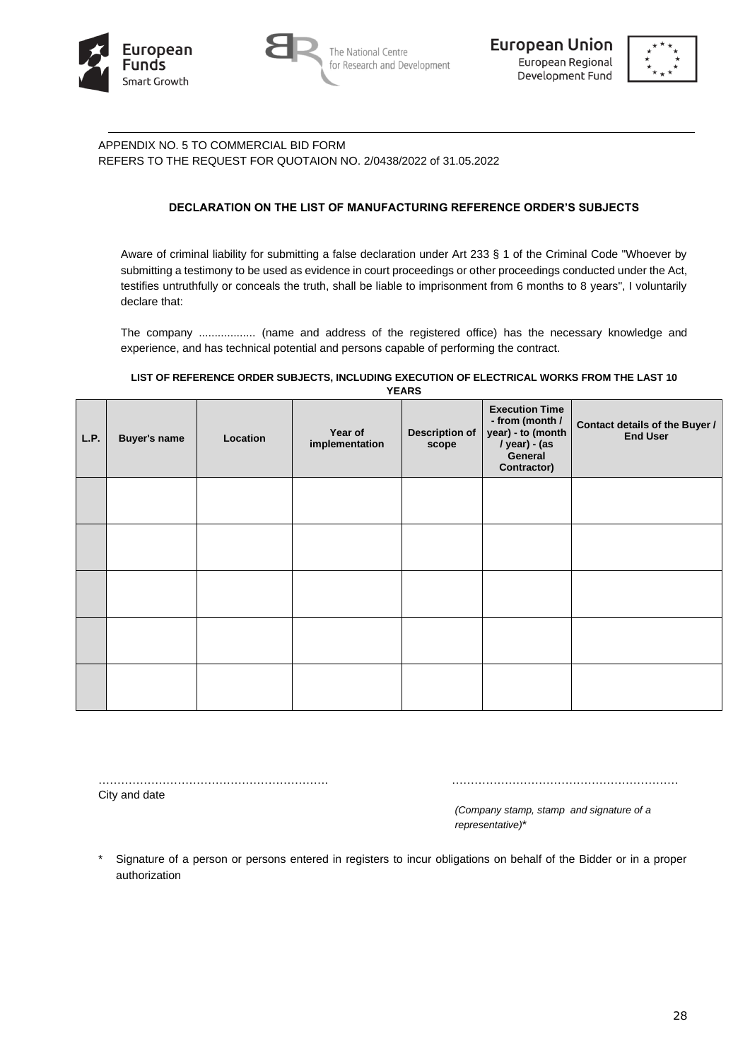





# APPENDIX NO. 5 TO COMMERCIAL BID FORM REFERS TO THE REQUEST FOR QUOTAION NO. 2/0438/2022 of 31.05.2022

## **DECLARATION ON THE LIST OF MANUFACTURING REFERENCE ORDER'S SUBJECTS**

Aware of criminal liability for submitting a false declaration under Art 233 § 1 of the Criminal Code "Whoever by submitting a testimony to be used as evidence in court proceedings or other proceedings conducted under the Act, testifies untruthfully or conceals the truth, shall be liable to imprisonment from 6 months to 8 years", I voluntarily declare that:

The company .................. (name and address of the registered office) has the necessary knowledge and experience, and has technical potential and persons capable of performing the contract.

#### **LIST OF REFERENCE ORDER SUBJECTS, INCLUDING EXECUTION OF ELECTRICAL WORKS FROM THE LAST 10 YEARS**

| L.P. | <b>Buyer's name</b> | Location | Year of<br>implementation | <b>Description of</b><br>scope | <b>Execution Time</b><br>- from (month /<br>year) - to (month<br>/ year) - (as<br>General<br>Contractor) | Contact details of the Buyer /<br><b>End User</b> |
|------|---------------------|----------|---------------------------|--------------------------------|----------------------------------------------------------------------------------------------------------|---------------------------------------------------|
|      |                     |          |                           |                                |                                                                                                          |                                                   |
|      |                     |          |                           |                                |                                                                                                          |                                                   |
|      |                     |          |                           |                                |                                                                                                          |                                                   |
|      |                     |          |                           |                                |                                                                                                          |                                                   |
|      |                     |          |                           |                                |                                                                                                          |                                                   |

……………………………………………………. ……………………………………………………

City and date

*(Company stamp, stamp and signature of a representative)*\*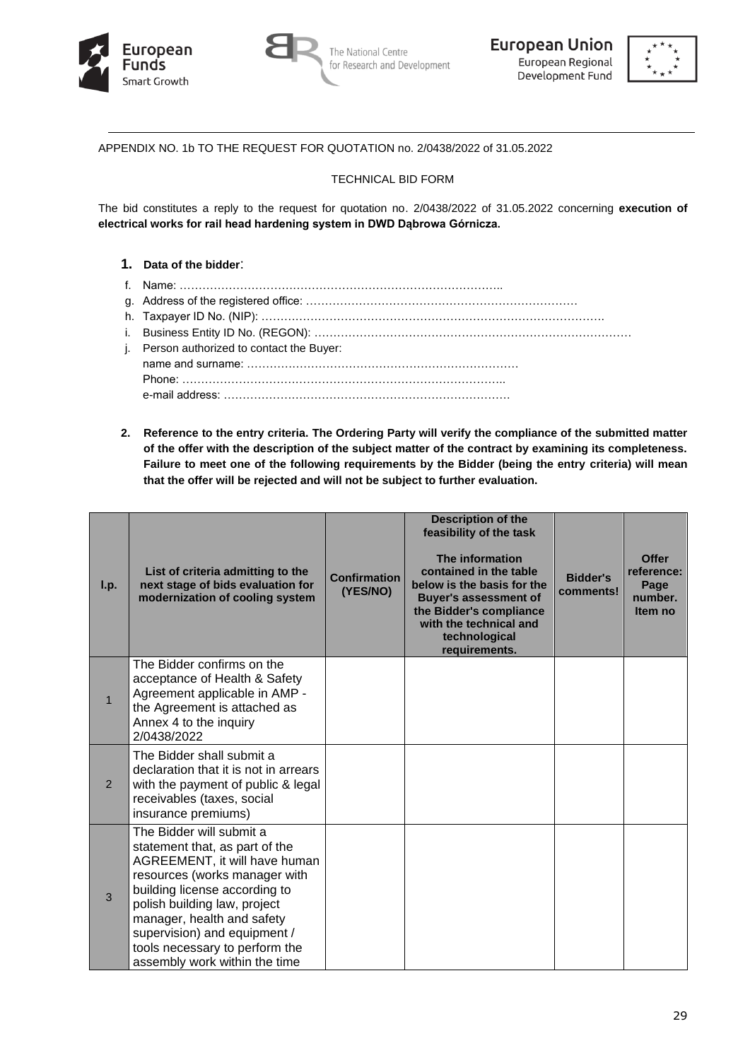





APPENDIX NO. 1b TO THE REQUEST FOR QUOTATION no. 2/0438/2022 of 31.05.2022

## TECHNICAL BID FORM

The bid constitutes a reply to the request for quotation no. 2/0438/2022 of 31.05.2022 concerning **execution of electrical works for rail head hardening system in DWD Dąbrowa Górnicza.**

## **1. Data of the bidder**:

- f. Name: …………………………………………………………………………..
- g. Address of the registered office: ………………………………………………………………
- h. Taxpayer ID No. (NIP): ……………………………………………………………………………….
- i. Business Entity ID No. (REGON): …………………………………………………………………………
- j. Person authorized to contact the Buyer: name and surname: ……………………………………………………………… Phone: ………………………………………………………………………….. e-mail address: ………………………………………………………………….
- **2. Reference to the entry criteria. The Ordering Party will verify the compliance of the submitted matter of the offer with the description of the subject matter of the contract by examining its completeness. Failure to meet one of the following requirements by the Bidder (being the entry criteria) will mean that the offer will be rejected and will not be subject to further evaluation.**

| I.p.           | List of criteria admitting to the<br>next stage of bids evaluation for<br>modernization of cooling system                                                                                                                                                                                                                      | <b>Confirmation</b><br>(YES/NO) | <b>Description of the</b><br>feasibility of the task<br>The information<br>contained in the table<br>below is the basis for the<br><b>Buyer's assessment of</b><br>the Bidder's compliance<br>with the technical and<br>technological<br>requirements. | <b>Bidder's</b><br>comments! | <b>Offer</b><br>reference:<br>Page<br>number.<br>Item no |
|----------------|--------------------------------------------------------------------------------------------------------------------------------------------------------------------------------------------------------------------------------------------------------------------------------------------------------------------------------|---------------------------------|--------------------------------------------------------------------------------------------------------------------------------------------------------------------------------------------------------------------------------------------------------|------------------------------|----------------------------------------------------------|
| $\mathbf{1}$   | The Bidder confirms on the<br>acceptance of Health & Safety<br>Agreement applicable in AMP -<br>the Agreement is attached as<br>Annex 4 to the inquiry<br>2/0438/2022                                                                                                                                                          |                                 |                                                                                                                                                                                                                                                        |                              |                                                          |
| $\overline{2}$ | The Bidder shall submit a<br>declaration that it is not in arrears<br>with the payment of public & legal<br>receivables (taxes, social<br>insurance premiums)                                                                                                                                                                  |                                 |                                                                                                                                                                                                                                                        |                              |                                                          |
| 3              | The Bidder will submit a<br>statement that, as part of the<br>AGREEMENT, it will have human<br>resources (works manager with<br>building license according to<br>polish building law, project<br>manager, health and safety<br>supervision) and equipment /<br>tools necessary to perform the<br>assembly work within the time |                                 |                                                                                                                                                                                                                                                        |                              |                                                          |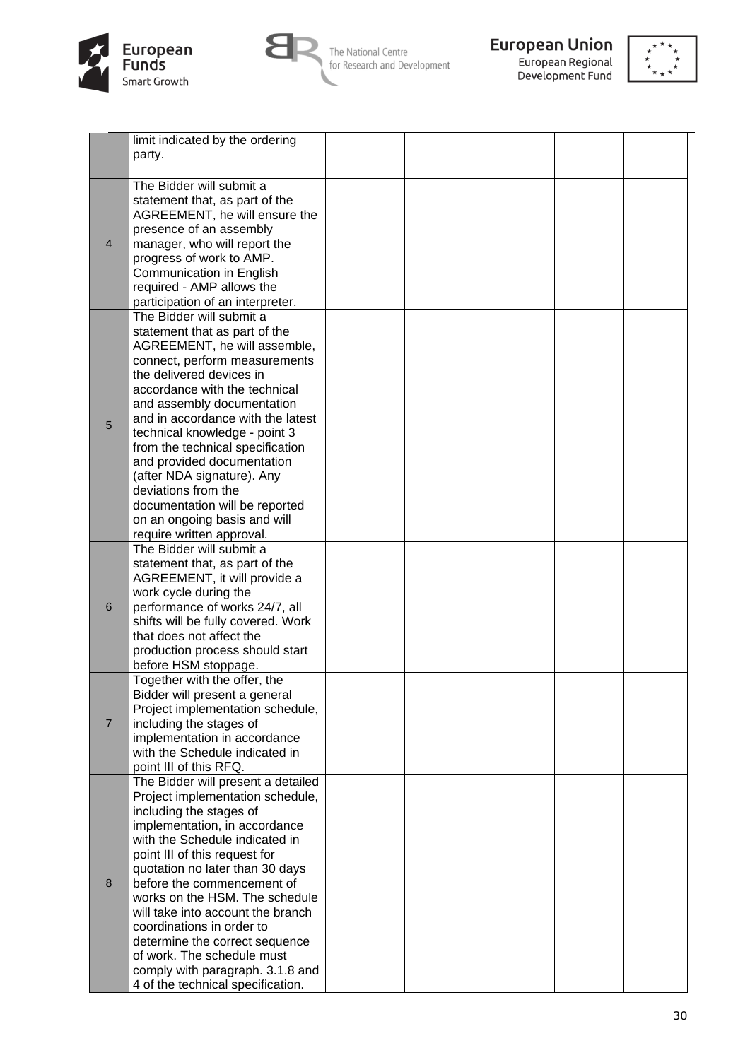



The National Centre<br>for Research and Development



**European Union**<br>European Regional<br>Development Fund



|                | limit indicated by the ordering    |  |  |
|----------------|------------------------------------|--|--|
|                | party.                             |  |  |
|                |                                    |  |  |
|                | The Bidder will submit a           |  |  |
|                | statement that, as part of the     |  |  |
|                | AGREEMENT, he will ensure the      |  |  |
| $\overline{4}$ | presence of an assembly            |  |  |
|                |                                    |  |  |
|                | manager, who will report the       |  |  |
|                | progress of work to AMP.           |  |  |
|                | Communication in English           |  |  |
|                | required - AMP allows the          |  |  |
|                | participation of an interpreter.   |  |  |
|                | The Bidder will submit a           |  |  |
|                | statement that as part of the      |  |  |
|                | AGREEMENT, he will assemble,       |  |  |
|                | connect, perform measurements      |  |  |
|                | the delivered devices in           |  |  |
|                | accordance with the technical      |  |  |
|                | and assembly documentation         |  |  |
| 5              | and in accordance with the latest  |  |  |
|                | technical knowledge - point 3      |  |  |
|                | from the technical specification   |  |  |
|                | and provided documentation         |  |  |
|                | (after NDA signature). Any         |  |  |
|                | deviations from the                |  |  |
|                | documentation will be reported     |  |  |
|                | on an ongoing basis and will       |  |  |
|                | require written approval.          |  |  |
|                | The Bidder will submit a           |  |  |
|                | statement that, as part of the     |  |  |
|                | AGREEMENT, it will provide a       |  |  |
|                | work cycle during the              |  |  |
| 6              | performance of works 24/7, all     |  |  |
|                | shifts will be fully covered. Work |  |  |
|                | that does not affect the           |  |  |
|                | production process should start    |  |  |
|                | before HSM stoppage.               |  |  |
|                | Together with the offer, the       |  |  |
|                | Bidder will present a general      |  |  |
|                | Project implementation schedule,   |  |  |
| $\overline{7}$ | including the stages of            |  |  |
|                | implementation in accordance       |  |  |
|                | with the Schedule indicated in     |  |  |
|                | point III of this RFQ.             |  |  |
|                | The Bidder will present a detailed |  |  |
| 8              | Project implementation schedule,   |  |  |
|                | including the stages of            |  |  |
|                | implementation, in accordance      |  |  |
|                | with the Schedule indicated in     |  |  |
|                |                                    |  |  |
|                | point III of this request for      |  |  |
|                | quotation no later than 30 days    |  |  |
|                | before the commencement of         |  |  |
|                | works on the HSM. The schedule     |  |  |
|                | will take into account the branch  |  |  |
|                | coordinations in order to          |  |  |
|                | determine the correct sequence     |  |  |
|                | of work. The schedule must         |  |  |
|                | comply with paragraph. 3.1.8 and   |  |  |
|                | 4 of the technical specification.  |  |  |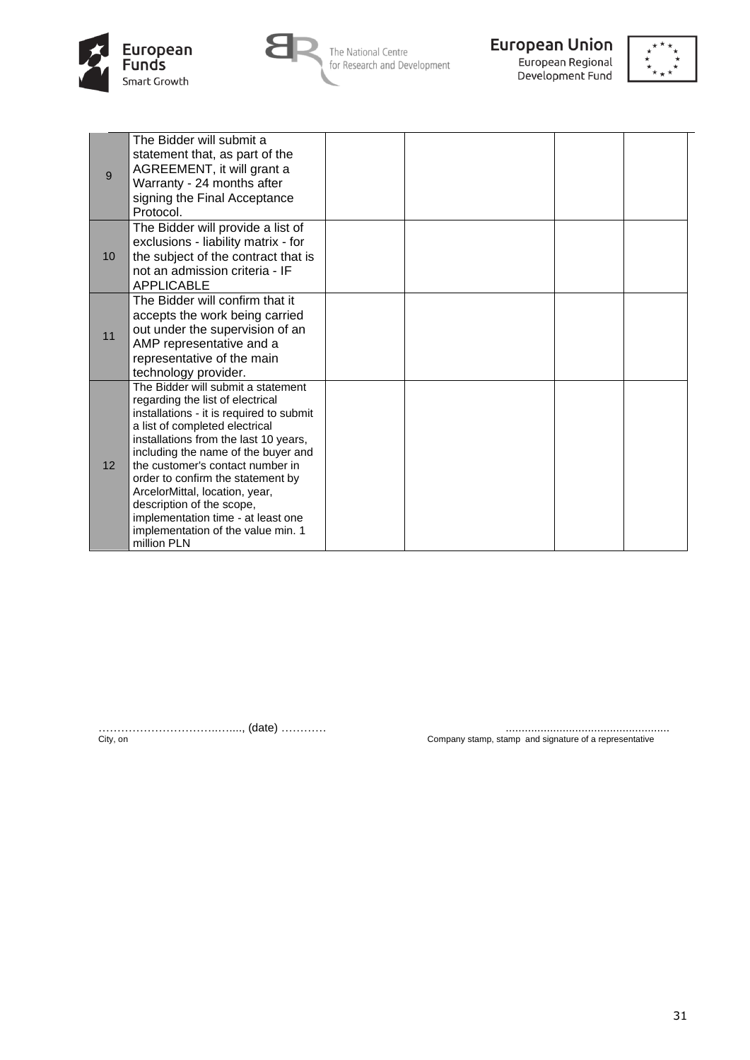



The National Centre for Research and Development



Development Fund



| 9               | The Bidder will submit a<br>statement that, as part of the<br>AGREEMENT, it will grant a<br>Warranty - 24 months after<br>signing the Final Acceptance<br>Protocol.                                                                                                                                                                                                                                                                                                     |  |  |
|-----------------|-------------------------------------------------------------------------------------------------------------------------------------------------------------------------------------------------------------------------------------------------------------------------------------------------------------------------------------------------------------------------------------------------------------------------------------------------------------------------|--|--|
| 10 <sup>1</sup> | The Bidder will provide a list of<br>exclusions - liability matrix - for<br>the subject of the contract that is<br>not an admission criteria - IF<br><b>APPLICABLE</b>                                                                                                                                                                                                                                                                                                  |  |  |
| 11              | The Bidder will confirm that it<br>accepts the work being carried<br>out under the supervision of an<br>AMP representative and a<br>representative of the main<br>technology provider.                                                                                                                                                                                                                                                                                  |  |  |
| 12 <sup>2</sup> | The Bidder will submit a statement<br>regarding the list of electrical<br>installations - it is required to submit<br>a list of completed electrical<br>installations from the last 10 years,<br>including the name of the buyer and<br>the customer's contact number in<br>order to confirm the statement by<br>ArcelorMittal, location, year,<br>description of the scope,<br>implementation time - at least one<br>implementation of the value min. 1<br>million PLN |  |  |

…………………………..…...., (date) ………… ....................................................

City, on Company stamp, stamp and signature of a representative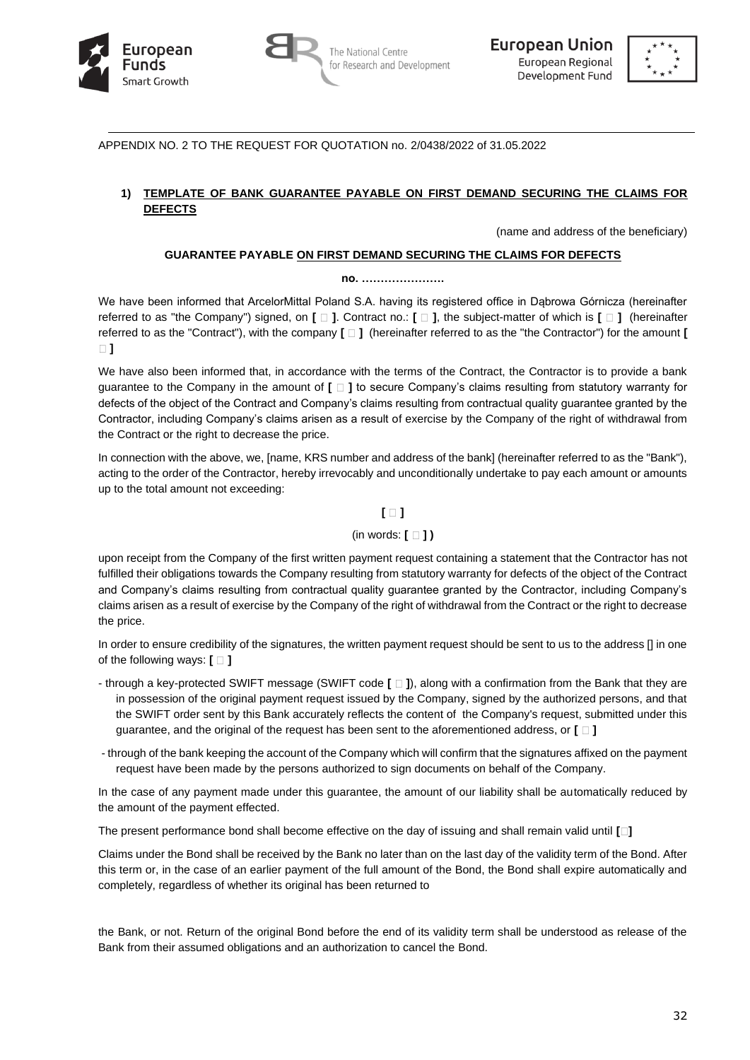





APPENDIX NO. 2 TO THE REQUEST FOR QUOTATION no. 2/0438/2022 of 31.05.2022

## **1) TEMPLATE OF BANK GUARANTEE PAYABLE ON FIRST DEMAND SECURING THE CLAIMS FOR DEFECTS**

(name and address of the beneficiary)

## **GUARANTEE PAYABLE ON FIRST DEMAND SECURING THE CLAIMS FOR DEFECTS**

#### **no. ………………….**

We have been informed that ArcelorMittal Poland S.A. having its registered office in Dąbrowa Górnicza (hereinafter referred to as "the Company") signed, on **[ ]**. Contract no.: **[ ]**, the subject-matter of which is **[ ]** (hereinafter referred to as the "Contract"), with the company **[ ]** (hereinafter referred to as the "the Contractor") for the amount **[ ]**

We have also been informed that, in accordance with the terms of the Contract, the Contractor is to provide a bank guarantee to the Company in the amount of **[ ]** to secure Company's claims resulting from statutory warranty for defects of the object of the Contract and Company's claims resulting from contractual quality guarantee granted by the Contractor, including Company's claims arisen as a result of exercise by the Company of the right of withdrawal from the Contract or the right to decrease the price.

In connection with the above, we, [name, KRS number and address of the bank] (hereinafter referred to as the "Bank"), acting to the order of the Contractor, hereby irrevocably and unconditionally undertake to pay each amount or amounts up to the total amount not exceeding:

# **[ ]**

# (in words: **[ ] )**

upon receipt from the Company of the first written payment request containing a statement that the Contractor has not fulfilled their obligations towards the Company resulting from statutory warranty for defects of the object of the Contract and Company's claims resulting from contractual quality guarantee granted by the Contractor, including Company's claims arisen as a result of exercise by the Company of the right of withdrawal from the Contract or the right to decrease the price.

In order to ensure credibility of the signatures, the written payment request should be sent to us to the address [] in one of the following ways:  $\mathbf{[} \Box \mathbf{]}$ 

- through a key-protected SWIFT message (SWIFT code **[ ]**), along with a confirmation from the Bank that they are in possession of the original payment request issued by the Company, signed by the authorized persons, and that the SWIFT order sent by this Bank accurately reflects the content of the Company's request, submitted under this guarantee, and the original of the request has been sent to the aforementioned address, or **[ ]**
- through of the bank keeping the account of the Company which will confirm that the signatures affixed on the payment request have been made by the persons authorized to sign documents on behalf of the Company.

In the case of any payment made under this guarantee, the amount of our liability shall be automatically reduced by the amount of the payment effected.

The present performance bond shall become effective on the day of issuing and shall remain valid until **[ ]**

Claims under the Bond shall be received by the Bank no later than on the last day of the validity term of the Bond. After this term or, in the case of an earlier payment of the full amount of the Bond, the Bond shall expire automatically and completely, regardless of whether its original has been returned to

the Bank, or not. Return of the original Bond before the end of its validity term shall be understood as release of the Bank from their assumed obligations and an authorization to cancel the Bond.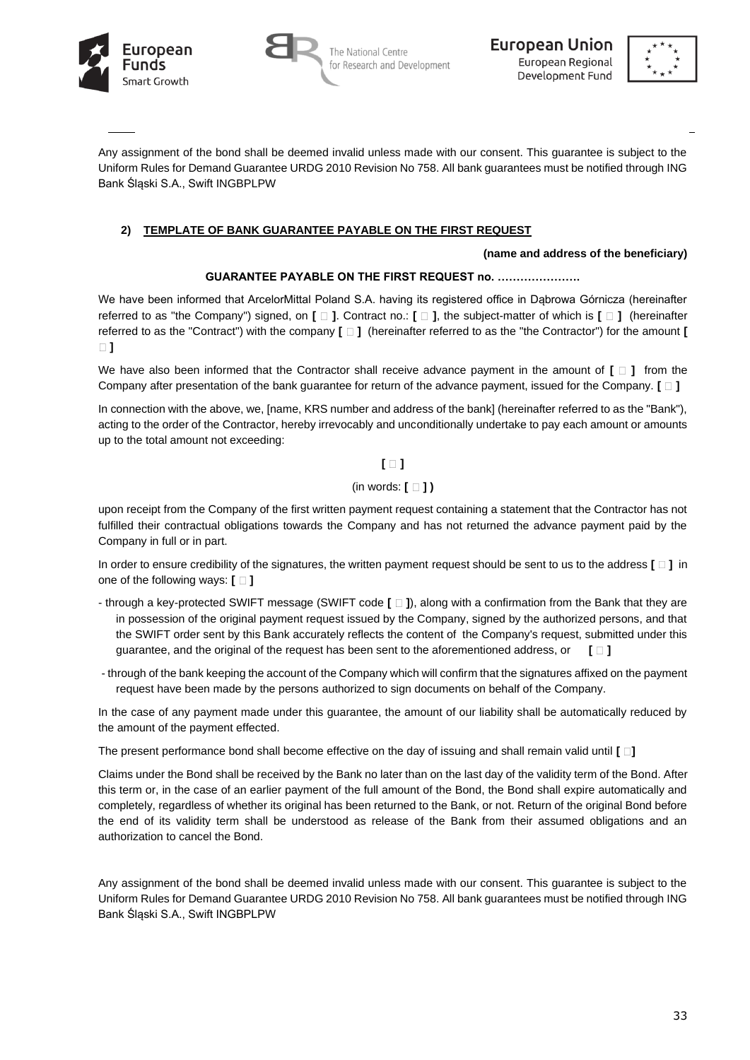





Any assignment of the bond shall be deemed invalid unless made with our consent. This guarantee is subject to the Uniform Rules for Demand Guarantee URDG 2010 Revision No 758. All bank guarantees must be notified through ING Bank Śląski S.A., Swift INGBPLPW

# **2) TEMPLATE OF BANK GUARANTEE PAYABLE ON THE FIRST REQUEST**

### **(name and address of the beneficiary)**

## **GUARANTEE PAYABLE ON THE FIRST REQUEST no. ………………….**

We have been informed that ArcelorMittal Poland S.A. having its registered office in Dabrowa Górnicza (hereinafter referred to as "the Company") signed, on **[ ]**. Contract no.: **[ ]**, the subject-matter of which is **[ ]** (hereinafter referred to as the "Contract") with the company **[ ]** (hereinafter referred to as the "the Contractor") for the amount **[ ]**

We have also been informed that the Contractor shall receive advance payment in the amount of  $[\Box]$  from the Company after presentation of the bank guarantee for return of the advance payment, issued for the Company. **[ ]**

In connection with the above, we, [name, KRS number and address of the bank] (hereinafter referred to as the "Bank"), acting to the order of the Contractor, hereby irrevocably and unconditionally undertake to pay each amount or amounts up to the total amount not exceeding:

# **[ ]**

## (in words: **[ ] )**

upon receipt from the Company of the first written payment request containing a statement that the Contractor has not fulfilled their contractual obligations towards the Company and has not returned the advance payment paid by the Company in full or in part.

In order to ensure credibility of the signatures, the written payment request should be sent to us to the address **[ ]** in one of the following ways:  $[ \Box ]$ 

- through a key-protected SWIFT message (SWIFT code **[ ]**), along with a confirmation from the Bank that they are in possession of the original payment request issued by the Company, signed by the authorized persons, and that the SWIFT order sent by this Bank accurately reflects the content of the Company's request, submitted under this guarantee, and the original of the request has been sent to the aforementioned address, or **[ ]**
- through of the bank keeping the account of the Company which will confirm that the signatures affixed on the payment request have been made by the persons authorized to sign documents on behalf of the Company.

In the case of any payment made under this guarantee, the amount of our liability shall be automatically reduced by the amount of the payment effected.

The present performance bond shall become effective on the day of issuing and shall remain valid until **[ ]**

Claims under the Bond shall be received by the Bank no later than on the last day of the validity term of the Bond. After this term or, in the case of an earlier payment of the full amount of the Bond, the Bond shall expire automatically and completely, regardless of whether its original has been returned to the Bank, or not. Return of the original Bond before the end of its validity term shall be understood as release of the Bank from their assumed obligations and an authorization to cancel the Bond.

Any assignment of the bond shall be deemed invalid unless made with our consent. This guarantee is subject to the Uniform Rules for Demand Guarantee URDG 2010 Revision No 758. All bank guarantees must be notified through ING Bank Śląski S.A., Swift INGBPLPW